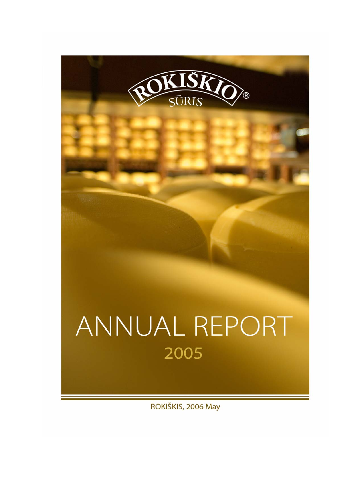

# ANNUAL REPORT 2005

ROKIŠKIS, 2006 May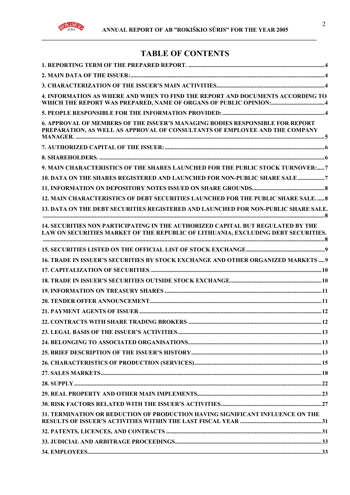

# **TABLE OF CONTENTS**

| 4. INFORMATION AS WHERE AND WHEN TO FIND THE REPORT AND DOCUMENTS ACCORDING TO                                                                                       |  |
|----------------------------------------------------------------------------------------------------------------------------------------------------------------------|--|
|                                                                                                                                                                      |  |
| 6. APPROVAL OF MEMBERS OF THE ISSUER'S MANAGING BODIES RESPONSIBLE FOR REPORT<br>PREPARATION, AS WELL AS APPROVAL OF CONSULTANTS OF EMPLOYEE AND THE COMPANY         |  |
|                                                                                                                                                                      |  |
|                                                                                                                                                                      |  |
| 9. MAIN CHARACTERISTICS OF THE SHARES LAUNCHED FOR THE PUBLIC STOCK TURNOVER:7                                                                                       |  |
| 10. DATA ON THE SHARES REGISTERED AND LAUNCHED FOR NON-PUBLIC SHARE SALE 7                                                                                           |  |
|                                                                                                                                                                      |  |
| 12. MAIN CHARACTERISTICS OF DEBT SECURITIES LAUNCHED FOR THE PUBLIC SHARE SALE8                                                                                      |  |
| 13. DATA ON THE DEBT SECURITIES REGISTERED AND LAUNCHED FOR NON-PUBLIC SHARE SALE.                                                                                   |  |
| 14. SECURITIES NON PARTICIPATING IN THE AUTHORIZED CAPITAL BUT REGULATED BY THE<br>LAW ON SECURITIES MARKET OF THE REPUBLIC OF LITHUANIA, EXCLUDING DEBT SECURITIES. |  |
|                                                                                                                                                                      |  |
| 16. TRADE IN ISSUER'S SECURITIES BY STOCK EXCHANGE AND OTHER ORGANIZED MARKETS  9                                                                                    |  |
|                                                                                                                                                                      |  |
|                                                                                                                                                                      |  |
|                                                                                                                                                                      |  |
|                                                                                                                                                                      |  |
|                                                                                                                                                                      |  |
|                                                                                                                                                                      |  |
|                                                                                                                                                                      |  |
|                                                                                                                                                                      |  |
|                                                                                                                                                                      |  |
|                                                                                                                                                                      |  |
|                                                                                                                                                                      |  |
|                                                                                                                                                                      |  |
|                                                                                                                                                                      |  |
|                                                                                                                                                                      |  |
| 31. TERMINATION OR REDUCTION OF PRODUCTION HAVING SIGNIFICANT INFLUENCE ON THE                                                                                       |  |
|                                                                                                                                                                      |  |
|                                                                                                                                                                      |  |
|                                                                                                                                                                      |  |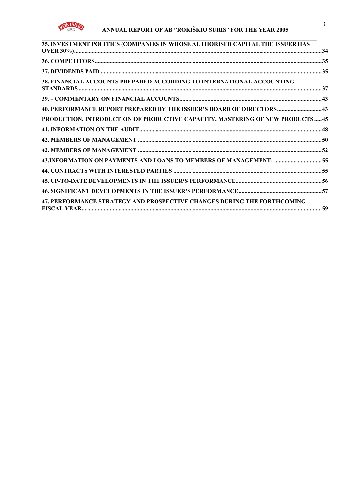

| 35. INVESTMENT POLITICS (COMPANIES IN WHOSE AUTHORISED CAPITAL THE ISSUER HAS  |  |
|--------------------------------------------------------------------------------|--|
|                                                                                |  |
|                                                                                |  |
| 38. FINANCIAL ACCOUNTS PREPARED ACCORDING TO INTERNATIONAL ACCOUNTING          |  |
|                                                                                |  |
| 40. PERFORMANCE REPORT PREPARED BY THE ISSUER'S BOARD OF DIRECTORS 43          |  |
| PRODUCTION, INTRODUCTION OF PRODUCTIVE CAPACITY, MASTERING OF NEW PRODUCTS  45 |  |
|                                                                                |  |
|                                                                                |  |
|                                                                                |  |
| 43. INFORMATION ON PAYMENTS AND LOANS TO MEMBERS OF MANAGEMENT: 55             |  |
|                                                                                |  |
|                                                                                |  |
|                                                                                |  |
| 47. PERFORMANCE STRATEGY AND PROSPECTIVE CHANGES DURING THE FORTHCOMING        |  |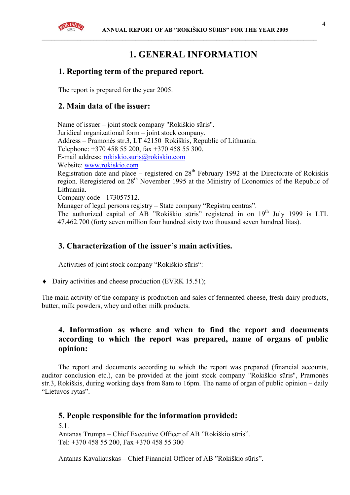

**\_\_\_\_\_\_\_\_\_\_\_\_\_\_\_\_\_\_\_\_\_\_\_\_\_\_\_\_\_\_\_\_\_\_\_\_\_\_\_\_\_\_\_\_\_\_\_\_\_\_\_\_\_\_\_\_\_\_\_\_\_\_\_\_\_\_\_\_\_\_\_\_\_\_\_\_\_\_\_\_\_\_\_\_\_** 

# **1. GENERAL INFORMATION**

# **1. Reporting term of the prepared report.**

The report is prepared for the year 2005.

# **2. Main data of the issuer:**

Name of issuer – joint stock company "Rokiškio sūris". Juridical organizational form – joint stock company. Address – Pramonės str.3, LT 42150 Rokiškis, Republic of Lithuania. Telephone: +370 458 55 200, fax +370 458 55 300. E-mail address: rokiskio.suris@rokiskio.com Website: www.rokiskio.com Registration date and place – registered on 28<sup>th</sup> February 1992 at the Directorate of Rokiskis region. Reregistered on 28<sup>th</sup> November 1995 at the Ministry of Economics of the Republic of Lithuania. Company code - 173057512. Manager of legal persons registry – State company "Registrų centras". The authorized capital of AB "Rokiškio sūris" registered in on 19<sup>th</sup> July 1999 is LTL 47.462.700 (forty seven million four hundred sixty two thousand seven hundred litas).

# **3. Characterization of the issuer's main activities.**

Activities of joint stock company "Rokiškio sūris":

♦ Dairy activities and cheese production (EVRK 15.51);

The main activity of the company is production and sales of fermented cheese, fresh dairy products, butter, milk powders, whey and other milk products.

# **4. Information as where and when to find the report and documents according to which the report was prepared, name of organs of public opinion:**

The report and documents according to which the report was prepared (financial accounts, auditor conclusion etc.), can be provided at the joint stock company "Rokiškio sūris", Pramonės str.3, Rokiškis, during working days from 8am to 16pm. The name of organ of public opinion – daily "Lietuvos rytas".

# **5. People responsible for the information provided:**

5.1.

Antanas Trumpa – Chief Executive Officer of AB "Rokiškio sūris". Tel: +370 458 55 200, Fax +370 458 55 300

Antanas Kavaliauskas – Chief Financial Officer of AB "Rokiškio sūris".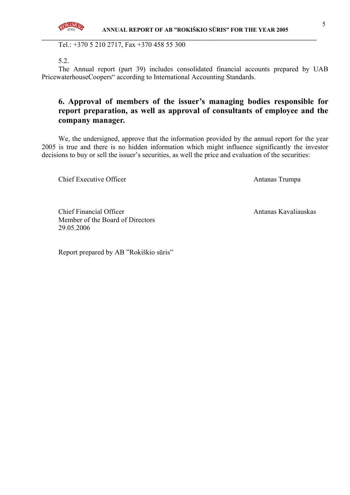

Tel.: +370 5 210 2717, Fax +370 458 55 300

5.2.

The Annual report (part 39) includes consolidated financial accounts prepared by UAB PricewaterhouseCoopers" according to International Accounting Standards.

**\_\_\_\_\_\_\_\_\_\_\_\_\_\_\_\_\_\_\_\_\_\_\_\_\_\_\_\_\_\_\_\_\_\_\_\_\_\_\_\_\_\_\_\_\_\_\_\_\_\_\_\_\_\_\_\_\_\_\_\_\_\_\_\_\_\_\_\_\_\_\_\_\_\_\_\_\_\_\_\_\_\_\_\_\_** 

# **6. Approval of members of the issuer's managing bodies responsible for report preparation, as well as approval of consultants of employee and the company manager.**

We, the undersigned, approve that the information provided by the annual report for the year 2005 is true and there is no hidden information which might influence significantly the investor decisions to buy or sell the issuer's securities, as well the price and evaluation of the securities:

Chief Executive Officer **Antanas Trumpa** 

Chief Financial Officer Antanas Kavaliauskas Member of the Board of Directors 29.05.2006

Report prepared by AB "Rokiškio sūris"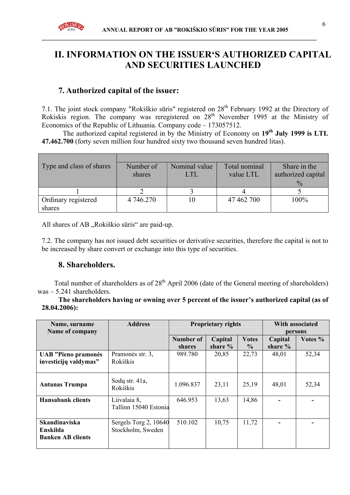

**\_\_\_\_\_\_\_\_\_\_\_\_\_\_\_\_\_\_\_\_\_\_\_\_\_\_\_\_\_\_\_\_\_\_\_\_\_\_\_\_\_\_\_\_\_\_\_\_\_\_\_\_\_\_\_\_\_\_\_\_\_\_\_\_\_\_\_\_\_\_\_\_\_\_\_\_\_\_\_\_\_\_\_\_\_** 

# **II. INFORMATION ON THE ISSUER'S AUTHORIZED CAPITAL AND SECURITIES LAUNCHED**

# **7. Authorized capital of the issuer:**

7.1. The joint stock company "Rokiškio sūris" registered on 28<sup>th</sup> February 1992 at the Directory of Rokiskis region. The company was reregistered on 28<sup>th</sup> November 1995 at the Ministry of Economics of the Republic of Lithuania. Company code – 173057512.

The authorized capital registered in by the Ministry of Economy on **19th July 1999 is LTL 47.462.700** (forty seven million four hundred sixty two thousand seven hundred litas).

| Type and class of shares | Number of | Nominal value | Total nominal | Share in the       |
|--------------------------|-----------|---------------|---------------|--------------------|
|                          | shares    | <b>LTL</b>    | value LTL     | authorized capital |
|                          |           |               |               | $\frac{0}{2}$      |
|                          |           |               |               |                    |
| Ordinary registered      | 4 746.270 |               | 47 462 700    | 100%               |
| shares                   |           |               |               |                    |

All shares of AB "Rokiškio sūris" are paid-up.

7.2. The company has not issued debt securities or derivative securities, therefore the capital is not to be increased by share convert or exchange into this type of securities.

# **8. Shareholders.**

Total number of shareholders as of  $28<sup>th</sup>$  April 2006 (date of the General meeting of shareholders) was – 5.241 shareholders.

**The shareholders having or owning over 5 percent of the issuer's authorized capital (as of 28.04.2006):** 

| Name, surname<br>Name of company                                    | <b>Address</b>                             |                            | <b>Proprietary rights</b> |                               |                    | With associated<br>persons |  |  |
|---------------------------------------------------------------------|--------------------------------------------|----------------------------|---------------------------|-------------------------------|--------------------|----------------------------|--|--|
|                                                                     |                                            | Number of<br><b>shares</b> | Capital<br>share %        | <b>Votes</b><br>$\frac{6}{6}$ | Capital<br>share % | Votes %                    |  |  |
| <b>UAB</b> "Pieno pramonės<br>investicijų valdymas"                 | Pramonės str. 3,<br>Rokiškis               | 989.780                    | 20,85                     | 22,73                         | 48,01              | 52,34                      |  |  |
| <b>Antanas Trumpa</b>                                               | Sody str. 41a,<br>Rokiškis                 | 1.096.837                  | 23,11                     | 25,19                         | 48,01              | 52,34                      |  |  |
| <b>Hansabank clients</b>                                            | Liivalaia 8,<br>Tallinn 15040 Estonia      | 646.953                    | 13,63                     | 14,86                         |                    |                            |  |  |
| <b>Skandinaviska</b><br><b>Enskilda</b><br><b>Banken AB clients</b> | Sergels Torg 2, 10640<br>Stockholm, Sweden | 510.102                    | 10,75                     | 11,72                         |                    |                            |  |  |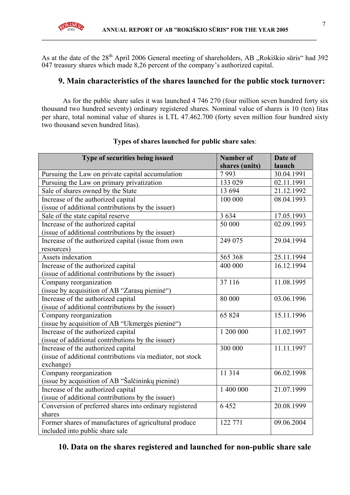As at the date of the 28<sup>th</sup> April 2006 General meeting of shareholders, AB "Rokiškio sūris" had 392 047 treasury shares which made 8,26 percent of the company's authorized capital.

**\_\_\_\_\_\_\_\_\_\_\_\_\_\_\_\_\_\_\_\_\_\_\_\_\_\_\_\_\_\_\_\_\_\_\_\_\_\_\_\_\_\_\_\_\_\_\_\_\_\_\_\_\_\_\_\_\_\_\_\_\_\_\_\_\_\_\_\_\_\_\_\_\_\_\_\_\_\_\_\_\_\_\_\_\_** 

# **9. Main characteristics of the shares launched for the public stock turnover:**

 As for the public share sales it was launched 4 746 270 (four million seven hundred forty six thousand two hundred seventy) ordinary registered shares. Nominal value of shares is 10 (ten) litas per share, total nominal value of shares is LTL 47.462.700 (forty seven million four hundred sixty two thousand seven hundred litas).

| Type of securities being issued                            | Number of      | Date of    |
|------------------------------------------------------------|----------------|------------|
|                                                            | shares (units) | launch     |
| Pursuing the Law on private capital accumulation           | 7993           | 30.04.1991 |
| Pursuing the Law on primary privatization                  | 133 029        | 02.11.1991 |
| Sale of shares owned by the State                          | 13 694         | 21.12.1992 |
| Increase of the authorized capital                         | 100 000        | 08.04.1993 |
| (issue of additional contributions by the issuer)          |                |            |
| Sale of the state capital reserve                          | 3 6 3 4        | 17.05.1993 |
| Increase of the authorized capital                         | 50 000         | 02.09.1993 |
| (issue of additional contributions by the issuer)          |                |            |
| Increase of the authorized capital (issue from own         | 249 075        | 29.04.1994 |
| resources)                                                 |                |            |
| Assets indexation                                          | 565 368        | 25.11.1994 |
| Increase of the authorized capital                         | 400 000        | 16.12.1994 |
| (issue of additional contributions by the issuer)          |                |            |
| Company reorganization                                     | 37 116         | 11.08.1995 |
| (issue by acquisition of AB "Zarasų pieninė")              |                |            |
| Increase of the authorized capital                         | 80 000         | 03.06.1996 |
| (issue of additional contributions by the issuer)          |                |            |
| Company reorganization                                     | 65 824         | 15.11.1996 |
| (issue by acquisition of AB "Ukmerges pienine")            |                |            |
| Increase of the authorized capital                         | 1 200 000      | 11.02.1997 |
| (issue of additional contributions by the issuer)          |                |            |
| Increase of the authorized capital                         | 300 000        | 11.11.1997 |
| (issue of additional contributions via mediator, not stock |                |            |
| exchange)                                                  |                |            |
| Company reorganization                                     | 11 3 14        | 06.02.1998 |
| (issue by acquisition of AB "Šalčininkų pieninė)           |                |            |
| Increase of the authorized capital                         | 1 400 000      | 21.07.1999 |
| (issue of additional contributions by the issuer)          |                |            |
| Conversion of preferred shares into ordinary registered    | 6452           | 20.08.1999 |
| shares                                                     |                |            |
| Former shares of manufactures of agricultural produce      | 122 771        | 09.06.2004 |
| included into public share sale                            |                |            |

#### **Types of shares launched for public share sales**:

**10. Data on the shares registered and launched for non-public share sale**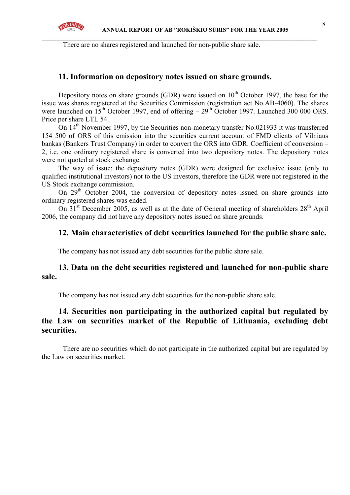

**\_\_\_\_\_\_\_\_\_\_\_\_\_\_\_\_\_\_\_\_\_\_\_\_\_\_\_\_\_\_\_\_\_\_\_\_\_\_\_\_\_\_\_\_\_\_\_\_\_\_\_\_\_\_\_\_\_\_\_\_\_\_\_\_\_\_\_\_\_\_\_\_\_\_\_\_\_\_\_\_\_\_\_\_\_** 

There are no shares registered and launched for non-public share sale.

#### **11. Information on depository notes issued on share grounds.**

Depository notes on share grounds (GDR) were issued on  $10<sup>th</sup>$  October 1997, the base for the issue was shares registered at the Securities Commission (registration act No.AB-4060). The shares were launched on  $15<sup>th</sup>$  October 1997, end of offering  $-29<sup>th</sup>$  October 1997. Launched 300 000 ORS. Price per share LTL 54.

On 14<sup>th</sup> November 1997, by the Securities non-monetary transfer No.021933 it was transferred 154 500 of ORS of this emission into the securities current account of FMD clients of Vilniaus bankas (Bankers Trust Company) in order to convert the ORS into GDR. Coefficient of conversion – 2, i.e. one ordinary registered share is converted into two depository notes. The depository notes were not quoted at stock exchange.

The way of issue: the depository notes (GDR) were designed for exclusive issue (only to qualified institutional investors) not to the US investors, therefore the GDR were not registered in the US Stock exchange commission.

On  $29<sup>th</sup>$  October 2004, the conversion of depository notes issued on share grounds into ordinary registered shares was ended.

On  $31<sup>st</sup>$  December 2005, as well as at the date of General meeting of shareholders  $28<sup>th</sup>$  April 2006, the company did not have any depository notes issued on share grounds.

#### **12. Main characteristics of debt securities launched for the public share sale.**

The company has not issued any debt securities for the public share sale.

# **13. Data on the debt securities registered and launched for non-public share sale.**

The company has not issued any debt securities for the non-public share sale.

# **14. Securities non participating in the authorized capital but regulated by the Law on securities market of the Republic of Lithuania, excluding debt securities.**

 There are no securities which do not participate in the authorized capital but are regulated by the Law on securities market.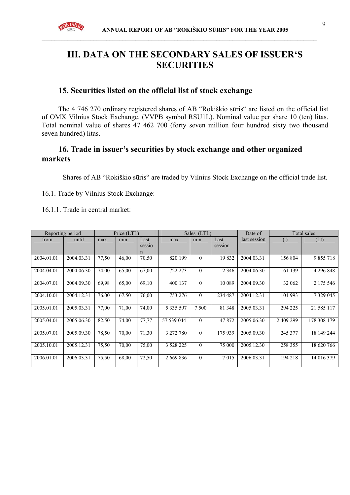

# **III. DATA ON THE SECONDARY SALES OF ISSUER'S SECURITIES**

**\_\_\_\_\_\_\_\_\_\_\_\_\_\_\_\_\_\_\_\_\_\_\_\_\_\_\_\_\_\_\_\_\_\_\_\_\_\_\_\_\_\_\_\_\_\_\_\_\_\_\_\_\_\_\_\_\_\_\_\_\_\_\_\_\_\_\_\_\_\_\_\_\_\_\_\_\_\_\_\_\_\_\_\_\_** 

# **15. Securities listed on the official list of stock exchange**

The 4 746 270 ordinary registered shares of AB "Rokiškio sūris" are listed on the official list of OMX Vilnius Stock Exchange. (VVPB symbol RSU1L). Nominal value per share 10 (ten) litas. Total nominal value of shares 47 462 700 (forty seven million four hundred sixty two thousand seven hundred) litas.

# **16. Trade in issuer's securities by stock exchange and other organized markets**

Shares of AB "Rokiškio sūris" are traded by Vilnius Stock Exchange on the official trade list.

16.1. Trade by Vilnius Stock Exchange:

16.1.1. Trade in central market:

| Reporting period |            | Price (LTL) |       |        | Sales (LTL)   |          |         | Date of      |                   | Total sales |
|------------------|------------|-------------|-------|--------|---------------|----------|---------|--------------|-------------------|-------------|
| from             | until      | max         | min   | Last   | max           | min      | Last    | last session | $\left( .\right)$ | (Lt)        |
|                  |            |             |       | sessio |               |          | session |              |                   |             |
|                  |            |             |       | n      |               |          |         |              |                   |             |
| 2004.01.01       | 2004.03.31 | 77,50       | 46,00 | 70,50  | 820 199       | $\theta$ | 19832   | 2004.03.31   | 156 804           | 9 855 718   |
| 2004.04.01       | 2004.06.30 | 74,00       | 65,00 | 67,00  | 722 273       | $\theta$ | 2 3 4 6 | 2004.06.30   | 61 139            | 4 296 848   |
| 2004.07.01       | 2004.09.30 | 69.98       | 65,00 | 69,10  | 400 137       | 0        | 10 0 89 | 2004.09.30   | 32 062            | 2 175 546   |
| 2004.10.01       | 2004.12.31 | 76,00       | 67,50 | 76,00  | 753 276       | $\theta$ | 234 487 | 2004.12.31   | 101 993           | 7 3 29 0 45 |
| 2005.01.01       | 2005.03.31 | 77,00       | 71,00 | 74,00  | 5 3 3 5 5 9 7 | 7 500    | 81 348  | 2005.03.31   | 294 225           | 21 585 117  |
| 2005.04.01       | 2005.06.30 | 82,50       | 74,00 | 77,77  | 57 539 044    | $\theta$ | 47872   | 2005.06.30   | 2 409 299         | 178 308 179 |
| 2005.07.01       | 2005.09.30 | 78,50       | 70,00 | 71,30  | 3 272 780     | $\theta$ | 175 939 | 2005.09.30   | 245 377           | 18 149 244  |
| 2005.10.01       | 2005.12.31 | 75,50       | 70,00 | 75,00  | 3 5 2 8 2 2 5 | $\theta$ | 75 000  | 2005.12.30   | 258 355           | 18 620 766  |
| 2006.01.01       | 2006.03.31 | 75,50       | 68,00 | 72,50  | 2 669 836     | $\theta$ | 7015    | 2006.03.31   | 194 218           | 14 016 379  |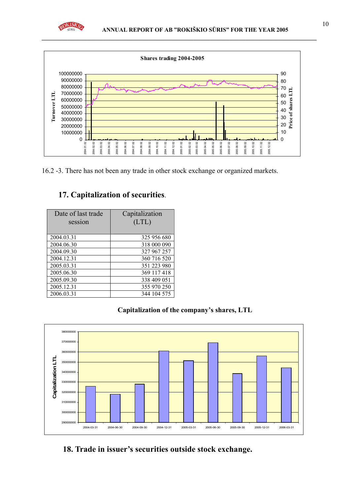



16.2 -3. There has not been any trade in other stock exchange or organized markets.

# **17. Capitalization of securities**.

| Date of last trade | Capitalization |  |  |  |
|--------------------|----------------|--|--|--|
| session            | (LTL)          |  |  |  |
|                    |                |  |  |  |
| 2004.03.31         | 325 956 680    |  |  |  |
| 2004.06.30         | 318 000 090    |  |  |  |
| 2004.09.30         | 327 967 257    |  |  |  |
| 2004.12.31         | 360 716 520    |  |  |  |
| 2005.03.31         | 351 223 980    |  |  |  |
| 2005.06.30         | 369 117 418    |  |  |  |
| 2005.09.30         | 338 409 051    |  |  |  |
| 2005.12.31         | 355 970 250    |  |  |  |
| 2006.03.31         | 344 104 575    |  |  |  |

# **Capitalization of the company's shares, LTL**



**18. Trade in issuer's securities outside stock exchange.**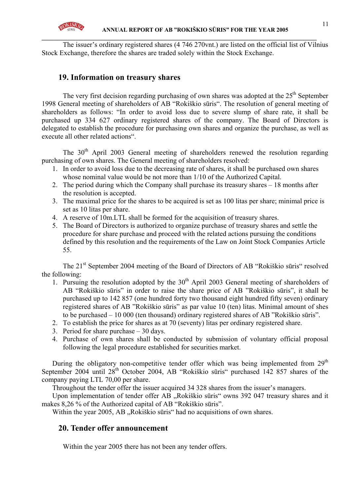

 The issuer's ordinary registered shares (4 746 270vnt.) are listed on the official list of Vilnius Stock Exchange, therefore the shares are traded solely within the Stock Exchange.

**\_\_\_\_\_\_\_\_\_\_\_\_\_\_\_\_\_\_\_\_\_\_\_\_\_\_\_\_\_\_\_\_\_\_\_\_\_\_\_\_\_\_\_\_\_\_\_\_\_\_\_\_\_\_\_\_\_\_\_\_\_\_\_\_\_\_\_\_\_\_\_\_\_\_\_\_\_\_\_\_\_\_\_\_\_** 

# **19. Information on treasury shares**

The very first decision regarding purchasing of own shares was adopted at the 25<sup>th</sup> September 1998 General meeting of shareholders of AB "Rokiškio sūris". The resolution of general meeting of shareholders as follows: "In order to avoid loss due to severe slump of share rate, it shall be purchased up 334 627 ordinary registered shares of the company. The Board of Directors is delegated to establish the procedure for purchasing own shares and organize the purchase, as well as execute all other related actions".

The 30<sup>th</sup> April 2003 General meeting of shareholders renewed the resolution regarding purchasing of own shares. The General meeting of shareholders resolved:

- 1. In order to avoid loss due to the decreasing rate of shares, it shall be purchased own shares whose nominal value would be not more than 1/10 of the Authorized Capital.
- 2. The period during which the Company shall purchase its treasury shares 18 months after the resolution is accepted.
- 3. The maximal price for the shares to be acquired is set as 100 litas per share; minimal price is set as 10 litas per share.
- 4. A reserve of 10m.LTL shall be formed for the acquisition of treasury shares.
- 5. The Board of Directors is authorized to organize purchase of treasury shares and settle the procedure for share purchase and proceed with the related actions pursuing the conditions defined by this resolution and the requirements of the Law on Joint Stock Companies Article 55.

The 21<sup>st</sup> September 2004 meeting of the Board of Directors of AB "Rokiškio sūris" resolved the following:

- 1. Pursuing the resolution adopted by the  $30<sup>th</sup>$  April 2003 General meeting of shareholders of AB "Rokiškio sūris" in order to raise the share price of AB "Rokiškio sūris", it shall be purchased up to 142 857 (one hundred forty two thousand eight hundred fifty seven) ordinary registered shares of AB "Rokiškio sūris" as par value 10 (ten) litas. Minimal amount of shes to be purchased – 10 000 (ten thousand) ordinary registered shares of AB "Rokiškio sūris".
- 2. To establish the price for shares as at 70 (seventy) litas per ordinary registered share.
- 3. Period for share purchase 30 days.
- 4. Purchase of own shares shall be conducted by submission of voluntary official proposal following the legal procedure established for securities market.

During the obligatory non-competitive tender offer which was being implemented from  $29<sup>th</sup>$ September 2004 until 28<sup>th</sup> October 2004, AB "Rokiškio sūris" purchased 142 857 shares of the company paying LTL 70,00 per share.

Throughout the tender offer the issuer acquired 34 328 shares from the issuer's managers.

Upon implementation of tender offer AB ..Rokiškio sūris" owns 392 047 treasury shares and it makes 8,26 % of the Authorized capital of AB "Rokiškio sūris".

Within the year 2005, AB "Rokiškio sūris" had no acquisitions of own shares.

# **20. Tender offer announcement**

Within the year 2005 there has not been any tender offers.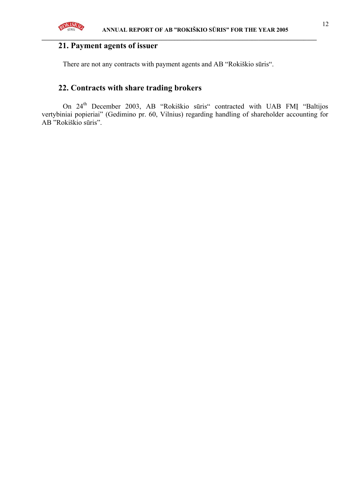

**\_\_\_\_\_\_\_\_\_\_\_\_\_\_\_\_\_\_\_\_\_\_\_\_\_\_\_\_\_\_\_\_\_\_\_\_\_\_\_\_\_\_\_\_\_\_\_\_\_\_\_\_\_\_\_\_\_\_\_\_\_\_\_\_\_\_\_\_\_\_\_\_\_\_\_\_\_\_\_\_\_\_\_\_\_** 

# **21. Payment agents of issuer**

There are not any contracts with payment agents and AB "Rokiškio sūris".

# **22. Contracts with share trading brokers**

 On 24th December 2003, AB "Rokiškio sūris" contracted with UAB FMĮ "Baltijos vertybiniai popieriai" (Gedimino pr. 60, Vilnius) regarding handling of shareholder accounting for AB "Rokiškio sūris".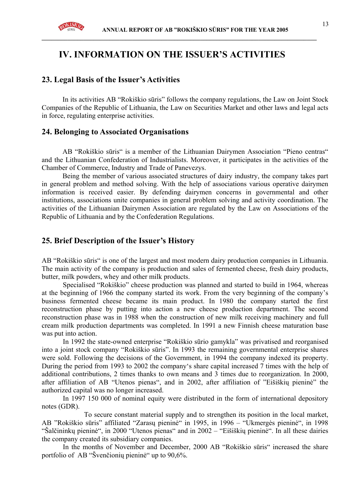

# **IV. INFORMATION ON THE ISSUER'S ACTIVITIES**

# **23. Legal Basis of the Issuer's Activities**

In its activities AB "Rokiškio sūris" follows the company regulations, the Law on Joint Stock Companies of the Republic of Lithuania, the Law on Securities Market and other laws and legal acts in force, regulating enterprise activities.

# **24. Belonging to Associated Organisations**

AB "Rokiškio sūris" is a member of the Lithuanian Dairymen Association "Pieno centras" and the Lithuanian Confederation of Industrialists. Moreover, it participates in the activities of the Chamber of Commerce, Industry and Trade of Panevezys.

Being the member of various associated structures of dairy industry, the company takes part in general problem and method solving. With the help of associations various operative dairymen information is received easier. By defending dairymen concerns in governmental and other institutions, associations unite companies in general problem solving and activity coordination. The activities of the Lithuanian Dairymen Association are regulated by the Law on Associations of the Republic of Lithuania and by the Confederation Regulations.

# **25. Brief Description of the Issuer's History**

AB "Rokiškio sūris" is one of the largest and most modern dairy production companies in Lithuania. The main activity of the company is production and sales of fermented cheese, fresh dairy products, butter, milk powders, whey and other milk products.

 Specialised "Rokiškio" cheese production was planned and started to build in 1964, whereas at the beginning of 1966 the company started its work. From the very beginning of the company's business fermented cheese became its main product. In 1980 the company started the first reconstruction phase by putting into action a new cheese production department. The second reconstruction phase was in 1988 when the construction of new milk receiving machinery and full cream milk production departments was completed. In 1991 a new Finnish cheese maturation base was put into action.

 In 1992 the state-owned enterprise "Rokiškio sūrio gamykla" was privatised and reorganised into a joint stock company "Rokiškio sūris". In 1993 the remaining governmental enterprise shares were sold. Following the decisions of the Government, in 1994 the company indexed its property. During the period from 1993 to 2002 the company's share capital increased 7 times with the help of additional contributions, 2 times thanks to own means and 3 times due to reorganization. In 2000, after affiliation of AB "Utenos pienas", and in 2002, after affiliation of "Eišiškių pieninė" the authorized capital was no longer increased.

 In 1997 150 000 of nominal equity were distributed in the form of international depository notes (GDR).

 To secure constant material supply and to strengthen its position in the local market, AB "Rokiškio sūris" affiliated "Zarasų pieninė" in 1995, in 1996 – "Ukmergės pieninė", in 1998 "Šalčininkų pieninė", in 2000 "Utenos pienas" and in 2002 – "Eišiškių pieninė". In all these dairies the company created its subsidiary companies.

In the months of November and December, 2000 AB "Rokiškio sūris" increased the share portfolio of AB "Švenčionių pieninė" up to 90,6%.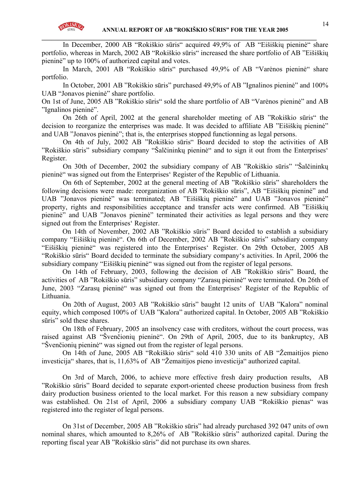

In December, 2000 AB "Rokiškio sūris" acquired 49,9% of AB "Eišiškių pieninė" share portfolio, whereas in March, 2002 AB "Rokiškio sūris" increased the share portfolio of AB "Eišiškių pieninė" up to 100% of authorized capital and votes.

**\_\_\_\_\_\_\_\_\_\_\_\_\_\_\_\_\_\_\_\_\_\_\_\_\_\_\_\_\_\_\_\_\_\_\_\_\_\_\_\_\_\_\_\_\_\_\_\_\_\_\_\_\_\_\_\_\_\_\_\_\_\_\_\_\_\_\_\_\_\_\_\_\_\_\_\_\_\_\_\_\_\_\_\_\_** 

In March, 2001 AB "Rokiškio sūris" purchased 49,9% of AB "Varėnos pieninė" share portfolio.

In October, 2001 AB "Rokiškio sūris" purchased 49,9% of AB "Ignalinos pieninė" and 100% UAB "Jonavos pieninė" share portfolio.

On 1st of June, 2005 AB "Rokiškio sūris" sold the share portfolio of AB "Varėnos pieninė" and AB "Ignalinos pieninė".

 On 26th of April, 2002 at the general shareholder meeting of AB "Rokiškio sūris" the decision to reorganize the enterprises was made. It was decided to affiliate AB "Eišiškių pieninė" and UAB "Jonavos pieninė"; that is, the enterprises stopped functionning as legal persons.

 On 4th of July, 2002 AB "Rokiškio sūris" Board decided to stop the activities of AB "Rokiškio sūris" subsidiary company "Šalčininkų pieninė" and to sign it out from the Enterprises' Register.

 On 30th of December, 2002 the subsidiary company of AB "Rokiškio sūris" "Šalčininkų pieninė" was signed out from the Enterprises' Register of the Republic of Lithuania.

 On 6th of September, 2002 at the general meeting of AB "Rokiškio sūris" shareholders the following decisions were made: reorganization of AB "Rokiškio sūris", AB "Eišiškių pieninė" and UAB "Jonavos pieninė" was terminated; AB "Eišiškių pieninė" and UAB "Jonavos pieninė" property, rights and responsibilities acceptance and transfer acts were confirmed. AB "Eišiškių pieninė" and UAB "Jonavos pieninė" terminated their activities as legal persons and they were signed out from the Enterprises' Register.

On 14th of November, 2002 AB "Rokiškio sūris" Board decided to establish a subsidiary company "Eišiškių pieninė". On 6th of December, 2002 AB "Rokiškio sūris" subsidiary company "Eišiškių pieninė" was registered into the Enterprises' Register. On 29th October, 2005 AB "Rokiškio sūris" Board decided to terminate the subsidiary company's activities. In April, 2006 the subsidiary company "Eišiškių pieninė" was signed out from the register of legal persons.

On 14th of February, 2003, following the decision of AB "Rokiškio sūris" Board, the activities of AB "Rokiškio sūris" subsidiary company "Zarasų pieninė" were terminated. On 26th of June, 2003 "Zarasų pieninė" was signed out from the Enterprises' Register of the Republic of Lithuania.

On 20th of August, 2003 AB "Rokiškio sūris" baught 12 units of UAB "Kalora" nominal equity, which composed 100% of UAB "Kalora" authorized capital. In October, 2005 AB "Rokiškio sūris" sold these shares.

On 18th of February, 2005 an insolvency case with creditors, without the court process, was raised against AB "Švenčionių pieninė". On 29th of April, 2005, due to its bankruptcy, AB "Švenčionių pieninė" was signed out from the register of legal persons.

On 14th of June, 2005 AB "Rokiškio sūris" sold 410 330 units of AB "Žemaitijos pieno investicija" shares, that is, 11,63% of AB "Žemaitijos pieno investicija" authorized capital.

On 3rd of March, 2006, to achieve more effective fresh dairy production results, AB "Rokiškio sūris" Board decided to separate export-oriented cheese production business from fresh dairy production business oriented to the local market. For this reason a new subsidiary company was established. On 21st of April, 2006 a subsidiary company UAB "Rokiškio pienas" was registered into the register of legal persons.

On 31st of December, 2005 AB "Rokiškio sūris" had already purchased 392 047 units of own nominal shares, which amounted to 8,26% of AB "Rokiškio sūris" authorized capital. During the reporting fiscal year AB "Rokiškio sūris" did not purchase its own shares.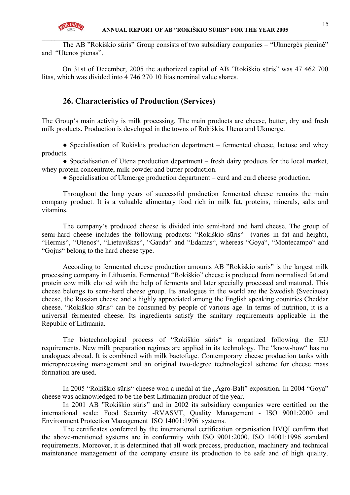

The AB "Rokiškio sūris" Group consists of two subsidiary companies – "Ukmergės pieninė" and "Utenos pienas".

**\_\_\_\_\_\_\_\_\_\_\_\_\_\_\_\_\_\_\_\_\_\_\_\_\_\_\_\_\_\_\_\_\_\_\_\_\_\_\_\_\_\_\_\_\_\_\_\_\_\_\_\_\_\_\_\_\_\_\_\_\_\_\_\_\_\_\_\_\_\_\_\_\_\_\_\_\_\_\_\_\_\_\_\_\_** 

On 31st of December, 2005 the authorized capital of AB "Rokiškio sūris" was 47 462 700 litas, which was divided into 4 746 270 10 litas nominal value shares.

# **26. Characteristics of Production (Services)**

The Group's main activity is milk processing. The main products are cheese, butter, dry and fresh milk products. Production is developed in the towns of Rokiškis, Utena and Ukmerge.

• Specialisation of Rokiskis production department – fermented cheese, lactose and whey products.

• Specialisation of Utena production department – fresh dairy products for the local market, whey protein concentrate, milk powder and butter production.

• Specialisation of Ukmerge production department – curd and curd cheese production.

 Throughout the long years of successful production fermented cheese remains the main company product. It is a valuable alimentary food rich in milk fat, proteins, minerals, salts and vitamins.

 The company's produced cheese is divided into semi-hard and hard cheese. The group of semi-hard cheese includes the following products: "Rokiškio sūris" (varies in fat and height), "Hermis", "Utenos", "Lietuviškas", "Gauda" and "Edamas", whereas "Goya", "Montecampo" and "Gojus" belong to the hard cheese type.

 According to fermented cheese production amounts AB "Rokiškio sūris" is the largest milk processing company in Lithuania. Fermented "Rokiškio" cheese is produced from normalised fat and protein cow milk clotted with the help of ferments and later specially processed and matured. This cheese belongs to semi-hard cheese group. Its analogues in the world are the Swedish (Sveciaost) cheese, the Russian cheese and a highly appreciated among the English speaking countries Cheddar cheese. "Rokiškio sūris" can be consumed by people of various age. In terms of nutrition, it is a universal fermented cheese. Its ingredients satisfy the sanitary requirements applicable in the Republic of Lithuania.

 The biotechnological process of "Rokiškio sūris" is organized following the EU requirements. New milk preparation regimes are applied in its technology. The "know-how" has no analogues abroad. It is combined with milk bactofuge. Contemporary cheese production tanks with microprocessing management and an original two-degree technological scheme for cheese mass formation are used.

In 2005 "Rokiškio sūris" cheese won a medal at the "Agro-Balt" exposition. In 2004 "Goya" cheese was acknowledged to be the best Lithuanian product of the year.

 In 2001 AB "Rokiškio sūris" and in 2002 its subsidiary companies were certified on the international scale: Food Security -RVASVT, Quality Management - ISO 9001:2000 and Environment Protection Management ISO 14001:1996 systems.

 The certificates conferred by the international certification organisation BVQI confirm that the above-mentioned systems are in conformity with ISO 9001:2000, ISO 14001:1996 standard requirements. Moreover, it is determined that all work process, production, machinery and technical maintenance management of the company ensure its production to be safe and of high quality.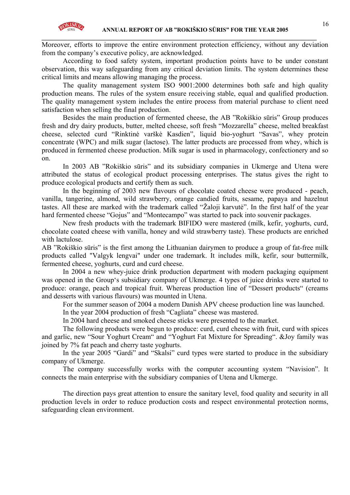

Moreover, efforts to improve the entire environment protection efficiency, without any deviation from the company's executive policy, are acknowledged.

**\_\_\_\_\_\_\_\_\_\_\_\_\_\_\_\_\_\_\_\_\_\_\_\_\_\_\_\_\_\_\_\_\_\_\_\_\_\_\_\_\_\_\_\_\_\_\_\_\_\_\_\_\_\_\_\_\_\_\_\_\_\_\_\_\_\_\_\_\_\_\_\_\_\_\_\_\_\_\_\_\_\_\_\_\_** 

 According to food safety system, important production points have to be under constant observation, this way safeguarding from any critical deviation limits. The system determines these critical limits and means allowing managing the process.

 The quality management system ISO 9001:2000 determines both safe and high quality production means. The rules of the system ensure receiving stable, equal and qualified production. The quality management system includes the entire process from material purchase to client need satisfaction when selling the final production.

 Besides the main production of fermented cheese, the AB "Rokiškio sūris" Group produces fresh and dry dairy products, butter, melted cheese, soft fresh "Mozzarella" cheese, melted breakfast cheese, selected curd "Rinktinė varškė Kasdien", liquid bio-yoghurt "Savas", whey protein concentrate (WPC) and milk sugar (lactose). The latter products are processed from whey, which is produced in fermented cheese production. Milk sugar is used in pharmacology, confectionery and so on.

 In 2003 AB "Rokiškio sūris" and its subsidiary companies in Ukmerge and Utena were attributed the status of ecological product processing enterprises. The status gives the right to produce ecological products and certify them as such.

 In the beginning of 2003 new flavours of chocolate coated cheese were produced - peach, vanilla, tangerine, almond, wild strawberry, orange candied fruits, sesame, papaya and hazelnut tastes. All these are marked with the trademark called "Žaloji karvutė". In the first half of the year hard fermented cheese "Gojus" and "Montecampo" was started to pack into souvenir packages.

 New fresh products with the trademark BIFIDO were mastered (milk, kefir, yoghurts, curd, chocolate coated cheese with vanilla, honey and wild strawberry taste). These products are enriched with lactulose.

AB "Rokiškio sūris" is the first among the Lithuanian dairymen to produce a group of fat-free milk products called "Valgyk lengvai" under one trademark. It includes milk, kefir, sour buttermilk, fermented cheese, yoghurts, curd and curd cheese.

 In 2004 a new whey-juice drink production department with modern packaging equipment was opened in the Group's subsidiary company of Ukmerge. 4 types of juice drinks were started to produce: orange, peach and tropical fruit. Whereas production line of "Dessert products" (creams and desserts with various flavours) was mounted in Utena.

For the summer season of 2004 a modern Danish APV cheese production line was launched.

In the year 2004 production of fresh "Cagliata" cheese was mastered.

In 2004 hard cheese and smoked cheese sticks were presented to the market.

 The following products were begun to produce: curd, curd cheese with fruit, curd with spices and garlic, new "Sour Yoghurt Cream" and "Yoghurt Fat Mixture for Spreading". &Joy family was joined by 7% fat peach and cherry taste yoghurts.

 In the year 2005 "Gardi" and "Skalsi" curd types were started to produce in the subsidiary company of Ukmerge.

 The company successfully works with the computer accounting system "Navision". It connects the main enterprise with the subsidiary companies of Utena and Ukmerge.

 The direction pays great attention to ensure the sanitary level, food quality and security in all production levels in order to reduce production costs and respect environmental protection norms, safeguarding clean environment.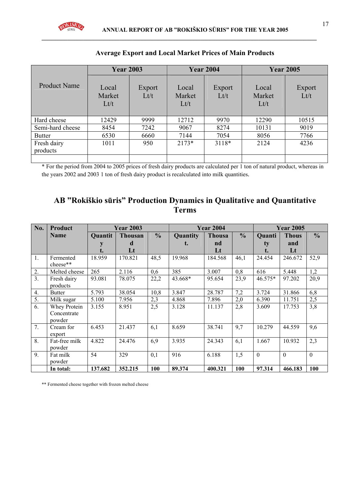

|                         | <b>Year 2003</b>         |                | <b>Year 2004</b>         |                 | <b>Year 2005</b>        |                |
|-------------------------|--------------------------|----------------|--------------------------|-----------------|-------------------------|----------------|
| <b>Product Name</b>     | Local<br>Market<br>L t/t | Export<br>Lt/t | Local<br>Market<br>L t/t | Export<br>L t/t | Local<br>Market<br>Lt/t | Export<br>Lt/t |
| Hard cheese             | 12429                    | 9999           | 12712                    | 9970            | 12290                   | 10515          |
| Semi-hard cheese        | 8454                     | 7242           | 9067                     | 8274            | 10131                   | 9019           |
| <b>Butter</b>           | 6530                     | 6660           | 7144                     | 7054            | 8056                    | 7766           |
| Fresh dairy<br>products | 1011                     | 950            | $2173*$                  | 3118*           | 2124                    | 4236           |
|                         |                          |                |                          |                 |                         |                |

#### **Average Export and Local Market Prices of Main Products**

\* For the period from 2004 to 2005 prices of fresh dairy products are calculated per 1 ton of natural product, whereas in the years 2002 and 2003 1 ton of fresh dairy product is recalculated into milk quantities.

# **AB "Rokiškio sūris" Production Dynamics in Qualitative and Quantitative Terms**

| No. | Product       | <b>Year 2003</b> |                |               |          | <b>Year 2004</b> |               |               | <b>Year 2005</b> |               |  |
|-----|---------------|------------------|----------------|---------------|----------|------------------|---------------|---------------|------------------|---------------|--|
|     | <b>Name</b>   | Quantit          | <b>Thousan</b> | $\frac{0}{0}$ | Quantity | <b>Thousa</b>    | $\frac{6}{6}$ | <b>Quanti</b> | <b>Thous</b>     | $\frac{0}{0}$ |  |
|     |               |                  | d              |               | t.       | nd               |               | ty            | and              |               |  |
|     |               |                  | Lt             |               |          | $\bf{L}t$        |               | t.            | $\bf{L}t$        |               |  |
| 1.  | Fermented     | 18.959           | 170.821        | 48,5          | 19.968   | 184.568          | 46,1          | 24.454        | 246.672          | 52,9          |  |
|     | cheese**      |                  |                |               |          |                  |               |               |                  |               |  |
| 2.  | Melted cheese | 265              | 2.116          | 0,6           | 385      | 3.007            | 0,8           | 616           | 5.448            | 1,2           |  |
| 3.  | Fresh dairy   | 93.081           | 78.075         | 22,2          | 43.668*  | 95.654           | 23,9          | 46.575*       | 97.202           | 20,9          |  |
|     | products      |                  |                |               |          |                  |               |               |                  |               |  |
| 4.  | <b>Butter</b> | 5.793            | 38.054         | 10,8          | 3.847    | 28.787           | 7,2           | 3.724         | 31.866           | 6,8           |  |
| 5.  | Milk sugar    | 5.100            | 7.956          | 2,3           | 4.868    | 7.896            | 2,0           | 6.390         | 11.751           | 2,5           |  |
| 6.  | Whey Protein  | 3.155            | 8.951          | 2,5           | 3.128    | 11.137           | 2,8           | 3.609         | 17.753           | 3,8           |  |
|     | Concentrate   |                  |                |               |          |                  |               |               |                  |               |  |
|     | powder        |                  |                |               |          |                  |               |               |                  |               |  |
| 7.  | Cream for     | 6.453            | 21.437         | 6,1           | 8.659    | 38.741           | 9,7           | 10.279        | 44.559           | 9,6           |  |
|     | export        |                  |                |               |          |                  |               |               |                  |               |  |
| 8.  | Fat-free milk | 4.822            | 24.476         | 6,9           | 3.935    | 24.343           | 6,1           | 1.667         | 10.932           | 2,3           |  |
|     | powder        |                  |                |               |          |                  |               |               |                  |               |  |
| 9.  | Fat milk      | 54               | 329            | 0,1           | 916      | 6.188            | 1,5           | $\mathbf{0}$  | $\overline{0}$   | $\Omega$      |  |
|     | powder        |                  |                |               |          |                  |               |               |                  |               |  |
|     | In total:     | 137.682          | 352.215        | 100           | 89.374   | 400.321          | 100           | 97.314        | 466.183          | 100           |  |

\*\* Fermented cheese together with frozen melted cheese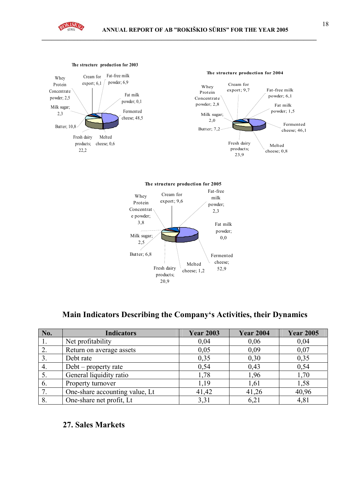

**\_\_\_\_\_\_\_\_\_\_\_\_\_\_\_\_\_\_\_\_\_\_\_\_\_\_\_\_\_\_\_\_\_\_\_\_\_\_\_\_\_\_\_\_\_\_\_\_\_\_\_\_\_\_\_\_\_\_\_\_\_\_\_\_\_\_\_\_\_\_\_\_\_\_\_\_\_\_\_\_\_\_\_\_\_** 







# **Main Indicators Describing the Company's Activities, their Dynamics**

| No. | <b>Indicators</b>              | <b>Year 2003</b> | <b>Year 2004</b> | <b>Year 2005</b> |
|-----|--------------------------------|------------------|------------------|------------------|
|     | Net profitability              | 0,04             | 0,06             | 0,04             |
| 2.  | Return on average assets       | 0,05             | 0,09             | 0,07             |
|     | Debt rate                      | 0,35             | 0,30             | 0,35             |
|     | $Debt$ – property rate         | 0,54             | 0,43             | 0,54             |
|     | General liquidity ratio        | 1,78             | 1,96             | 1,70             |
| 6.  | Property turnover              | 1,19             | 1,61             | 1,58             |
| 7.  | One-share accounting value, Lt | 41,42            | 41,26            | 40,96            |
|     | One-share net profit, Lt       | 3,31             | 6,21             | 4,81             |

# **27. Sales Markets**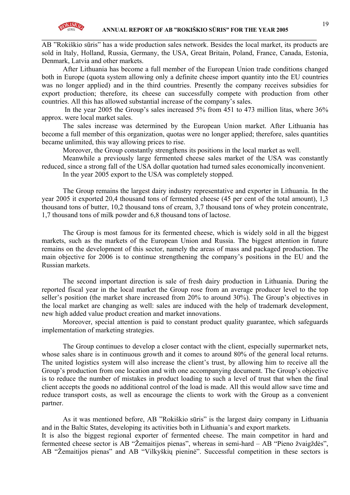

AB "Rokiškio sūris" has a wide production sales network. Besides the local market, its products are sold in Italy, Holland, Russia, Germany, the USA, Great Britain, Poland, France, Canada, Estonia, Denmark, Latvia and other markets.

**\_\_\_\_\_\_\_\_\_\_\_\_\_\_\_\_\_\_\_\_\_\_\_\_\_\_\_\_\_\_\_\_\_\_\_\_\_\_\_\_\_\_\_\_\_\_\_\_\_\_\_\_\_\_\_\_\_\_\_\_\_\_\_\_\_\_\_\_\_\_\_\_\_\_\_\_\_\_\_\_\_\_\_\_\_** 

 After Lithuania has become a full member of the European Union trade conditions changed both in Europe (quota system allowing only a definite cheese import quantity into the EU countries was no longer applied) and in the third countries. Presently the company receives subsidies for export production; therefore, its cheese can successfully compete with production from other countries. All this has allowed substantial increase of the company's sales.

 In the year 2005 the Group's sales increased 5% from 451 to 473 million litas, where 36% approx. were local market sales.

 The sales increase was determined by the European Union market. After Lithuania has become a full member of this organization, quotas were no longer applied; therefore, sales quantities became unlimited, this way allowing prices to rise.

Moreover, the Group constantly strengthens its positions in the local market as well.

 Meanwhile a previously large fermented cheese sales market of the USA was constantly reduced, since a strong fall of the USA dollar quotation had turned sales economically inconvenient.

In the year 2005 export to the USA was completely stopped.

 The Group remains the largest dairy industry representative and exporter in Lithuania. In the year 2005 it exported 20,4 thousand tons of fermented cheese (45 per cent of the total amount), 1,3 thousand tons of butter, 10,2 thousand tons of cream, 3,7 thousand tons of whey protein concentrate, 1,7 thousand tons of milk powder and 6,8 thousand tons of lactose.

The Group is most famous for its fermented cheese, which is widely sold in all the biggest markets, such as the markets of the European Union and Russia. The biggest attention in future remains on the development of this sector, namely the areas of mass and packaged production. The main objective for 2006 is to continue strengthening the company's positions in the EU and the Russian markets.

 The second important direction is sale of fresh dairy production in Lithuania. During the reported fiscal year in the local market the Group rose from an average producer level to the top seller's position (the market share increased from 20% to around 30%). The Group's objectives in the local market are changing as well: sales are induced with the help of trademark development, new high added value product creation and market innovations.

 Moreover, special attention is paid to constant product quality guarantee, which safeguards implementation of marketing strategies.

 The Group continues to develop a closer contact with the client, especially supermarket nets, whose sales share is in continuous growth and it comes to around 80% of the general local returns. The united logistics system will also increase the client's trust, by allowing him to receive all the Group's production from one location and with one accompanying document. The Group's objective is to reduce the number of mistakes in product loading to such a level of trust that when the final client accepts the goods no additional control of the load is made. All this would allow save time and reduce transport costs, as well as encourage the clients to work with the Group as a convenient partner.

 As it was mentioned before, AB "Rokiškio sūris" is the largest dairy company in Lithuania and in the Baltic States, developing its activities both in Lithuania's and export markets. It is also the biggest regional exporter of fermented cheese. The main competitor in hard and fermented cheese sector is AB "Žemaitijos pienas", whereas in semi-hard – AB "Pieno žvaigždės", AB "Žemaitijos pienas" and AB "Vilkyškių pieninė". Successful competition in these sectors is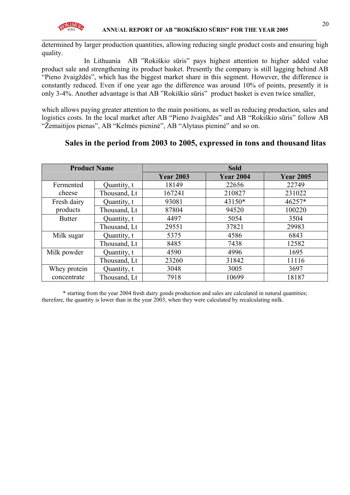

determined by larger production quantities, allowing reducing single product costs and ensuring high quality.

**\_\_\_\_\_\_\_\_\_\_\_\_\_\_\_\_\_\_\_\_\_\_\_\_\_\_\_\_\_\_\_\_\_\_\_\_\_\_\_\_\_\_\_\_\_\_\_\_\_\_\_\_\_\_\_\_\_\_\_\_\_\_\_\_\_\_\_\_\_\_\_\_\_\_\_\_\_\_\_\_\_\_\_\_\_** 

 In Lithuania AB "Rokiškio sūris" pays highest attention to higher added value product sale and strengthening its product basket. Presently the company is still lagging behind AB "Pieno žvaigždės", which has the biggest market share in this segment. However, the difference is constantly reduced. Even if one year ago the difference was around 10% of points, presently it is only 3-4%. Another advantage is that AB "Rokiškio sūris" product basket is even twice smaller,

which allows paying greater attention to the main positions, as well as reducing production, sales and logistics costs. In the local market after AB "Pieno žvaigždės" and AB "Rokiškio sūris" follow AB "Žemaitijos pienas", AB "Kelmės pieninė", AB "Alytaus pieninė" and so on.

# **Sales in the period from 2003 to 2005, expressed in tons and thousand litas**

| <b>Product Name</b> |              | <b>Sold</b>      |                  |                  |  |  |
|---------------------|--------------|------------------|------------------|------------------|--|--|
|                     |              | <b>Year 2003</b> | <b>Year 2004</b> | <b>Year 2005</b> |  |  |
| Fermented           | Quantity, t  | 18149            | 22656            | 22749            |  |  |
| cheese              | Thousand, Lt | 167241           | 210827           | 231022           |  |  |
| Fresh dairy         | Quantity, t  | 93081            | 43150*           | 46257*           |  |  |
| products            | Thousand, Lt | 87804            | 94520            | 100220           |  |  |
| <b>Butter</b>       | Quantity, t  | 4497             | 5054             | 3504             |  |  |
|                     | Thousand, Lt | 29551            | 37821            | 29983            |  |  |
| Milk sugar          | Quantity, t  | 5375             | 4586             | 6843             |  |  |
|                     | Thousand, Lt | 8485             | 7438             | 12582            |  |  |
| Milk powder         | Quantity, t  | 4590             | 4996             | 1695             |  |  |
|                     | Thousand, Lt | 23260            | 31842            | 11116            |  |  |
| Whey protein        | Quantity, t  | 3048             | 3005             | 3697             |  |  |
| concentrate         | Thousand, Lt | 7918             | 10699            | 18187            |  |  |

\* starting from the year 2004 fresh dairy goods production and sales are calculated in natural quantities; therefore, the quantity is lower than in the year 2003, when they were calculated by recalculating milk.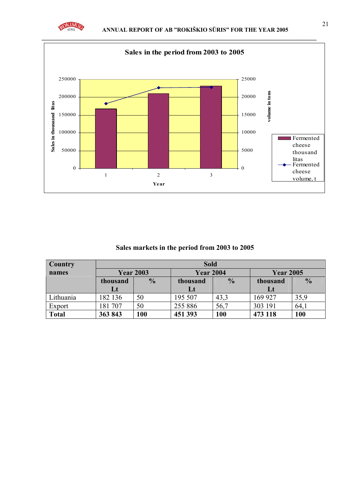



# **Sales markets in the period from 2003 to 2005**

| <b>Country</b> | <b>Sold</b>      |               |                  |               |                  |               |  |
|----------------|------------------|---------------|------------------|---------------|------------------|---------------|--|
| names          | <b>Year 2003</b> |               | <b>Year 2004</b> |               | <b>Year 2005</b> |               |  |
|                | thousand         | $\frac{0}{0}$ | thousand         | $\frac{0}{0}$ | thousand         | $\frac{0}{0}$ |  |
|                | $\mathbf{L}$ t   |               | Lt               |               | Lt               |               |  |
| Lithuania      | 182 136          | 50            | 195 507          | 43.3          | 169 927          | 35,9          |  |
| Export         | 181707           | 50            | 255 886          | 56,7          | 303 191          | 64,1          |  |
| <b>Total</b>   | 363 843          | 100           | 451 393          | 100           | 473 118          | <b>100</b>    |  |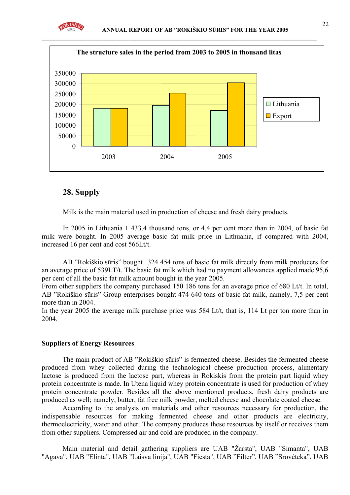



# **28. Supply**

Milk is the main material used in production of cheese and fresh dairy products.

In 2005 in Lithuania 1 433,4 thousand tons, or 4,4 per cent more than in 2004, of basic fat milk were bought. In 2005 average basic fat milk price in Lithuania, if compared with 2004, increased 16 per cent and cost 566Lt/t.

AB "Rokiškio sūris" bought 324 454 tons of basic fat milk directly from milk producers for an average price of 539LT/t. The basic fat milk which had no payment allowances applied made 95,6 per cent of all the basic fat milk amount bought in the year 2005.

From other suppliers the company purchased 150 186 tons for an average price of 680 Lt/t. In total, AB "Rokiškio sūris" Group enterprises bought 474 640 tons of basic fat milk, namely, 7,5 per cent more than in 2004.

In the year 2005 the average milk purchase price was 584 Lt/t, that is, 114 Lt per ton more than in 2004.

#### **Suppliers of Energy Resources**

The main product of AB "Rokiškio sūris" is fermented cheese. Besides the fermented cheese produced from whey collected during the technological cheese production process, alimentary lactose is produced from the lactose part, whereas in Rokiskis from the protein part liquid whey protein concentrate is made. In Utena liquid whey protein concentrate is used for production of whey protein concentrate powder. Besides all the above mentioned products, fresh dairy products are produced as well; namely, butter, fat free milk powder, melted cheese and chocolate coated cheese.

According to the analysis on materials and other resources necessary for production, the indispensable resources for making fermented cheese and other products are electricity, thermoelectricity, water and other. The company produces these resources by itself or receives them from other suppliers. Compressed air and cold are produced in the company.

Main material and detail gathering suppliers are UAB "Žarsta", UAB "Simanta", UAB "Agava", UAB "Elinta", UAB "Laisva linija", UAB "Fiesta", UAB "Filter", UAB "Srovėteka", UAB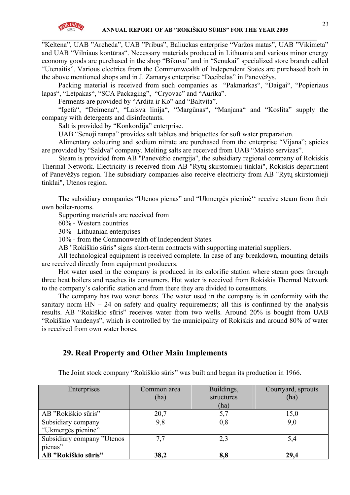

"Keltena", UAB "Archeda", UAB "Pribus", Baliuckas enterprise "Varžos matas", UAB "Vikimeta" and UAB "Vilniaus kontūras". Necessary materials produced in Lithuania and various minor energy economy goods are purchased in the shop "Bikuva" and in "Senukai" specialized store branch called "Utenaitis". Various electrics from the Commonwealth of Independent States are purchased both in the above mentioned shops and in J. Zamarys enterprise "Decibelas" in Panevėžys.

**\_\_\_\_\_\_\_\_\_\_\_\_\_\_\_\_\_\_\_\_\_\_\_\_\_\_\_\_\_\_\_\_\_\_\_\_\_\_\_\_\_\_\_\_\_\_\_\_\_\_\_\_\_\_\_\_\_\_\_\_\_\_\_\_\_\_\_\_\_\_\_\_\_\_\_\_\_\_\_\_\_\_\_\_\_** 

Packing material is received from such companies as "Pakmarkas", "Daigai", "Popieriaus lapas", "Letpakas", "SCA Packaging", "Cryovac" and "Aurika".

Ferments are provided by "Ardita ir Ko" and "Baltvita".

"Igefa", "Deimena", "Laisva linija", "Margūnas", "Manjana" and "Koslita" supply the company with detergents and disinfectants.

Salt is provided by "Konkordija" enterprise.

UAB "Senoji rampa" provides salt tablets and briquettes for soft water preparation.

Alimentary colouring and sodium nitrate are purchased from the enterprise "Vijana"; spicies are provided by "Saldva" company. Melting salts are received from UAB "Maisto servizas".

Steam is provided from AB "Panevėžio energija", the subsidiary regional company of Rokiskis Thermal Network. Electricity is received from AB "Rytų skirstomieji tinklai", Rokiskis department of Panevėžys region. The subsidiary companies also receive electricity from AB "Rytų skirstomieji tinklai", Utenos region.

The subsidiary companies "Utenos pienas" and "Ukmergės pieninė'' receive steam from their own boiler-rooms.

Supporting materials are received from

60% - Western countries

30% - Lithuanian enterprises

10% - from the Commonwealth of Independent States.

AB "Rokiškio sūris" signs short-term contracts with supporting material suppliers.

All technological equipment is received complete. In case of any breakdown, mounting details are received directly from equipment producers.

Hot water used in the company is produced in its calorific station where steam goes through three heat boilers and reaches its consumers. Hot water is received from Rokiskis Thermal Network to the company's calorific station and from there they are divided to consumers.

The company has two water bores. The water used in the company is in conformity with the sanitary norm  $HN - 24$  on safety and quality requirements; all this is confirmed by the analysis results. AB "Rokiškio sūris" receives water from two wells. Around 20% is bought from UAB "Rokiškio vandenys", which is controlled by the municipality of Rokiskis and around 80% of water is received from own water bores.

# **29. Real Property and Other Main Implements**

The Joint stock company "Rokiškio sūris" was built and began its production in 1966.

| Enterprises                 | Common area | Buildings, | Courtyard, sprouts |
|-----------------------------|-------------|------------|--------------------|
|                             | (ha)        | structures | (ha)               |
|                             |             | (ha)       |                    |
| AB "Rokiškio sūris"         | 20,7        | 5,7        | 15,0               |
| Subsidiary company          | 9,8         | 0,8        | 9,0                |
| "Ukmergės pieninė"          |             |            |                    |
| Subsidiary company "Utenos" |             | 2,3        | 5.4                |
| pienas"                     |             |            |                    |
| AB "Rokiškio sūris"         | 38,2        | 8,8        | 29,4               |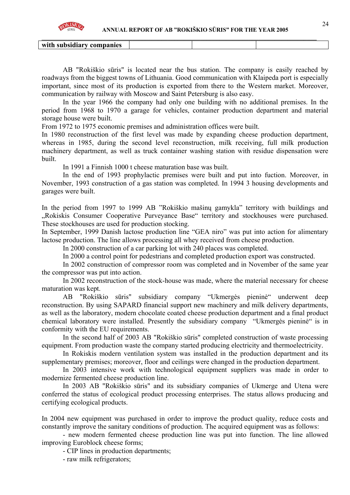

| with subsidiary<br>npanies |  |  |
|----------------------------|--|--|

 AB "Rokiškio sūris" is located near the bus station. The company is easily reached by roadways from the biggest towns of Lithuania. Good communication with Klaipeda port is especially important, since most of its production is exported from there to the Western market. Moreover, communication by railway with Moscow and Saint Petersburg is also easy.

 In the year 1966 the company had only one building with no additional premises. In the period from 1968 to 1970 a garage for vehicles, container production department and material storage house were built.

From 1972 to 1975 economic premises and administration offices were built.

In 1980 reconstruction of the first level was made by expanding cheese production department, whereas in 1985, during the second level reconstruction, milk receiving, full milk production machinery department, as well as truck container washing station with residue dispensation were built.

In 1991 a Finnish 1000 t cheese maturation base was built.

 In the end of 1993 prophylactic premises were built and put into fuction. Moreover, in November, 1993 construction of a gas station was completed. In 1994 3 housing developments and garages were built.

In the period from 1997 to 1999 AB "Rokiškio mašinų gamykla" territory with buildings and "Rokiskis Consumer Cooperative Purveyance Base" territory and stockhouses were purchased. These stockhouses are used for production stocking.

In September, 1999 Danish lactose production line "GEA niro" was put into action for alimentary lactose production. The line allows processing all whey received from cheese production.

In 2000 construction of a car parking lot with 240 places was completed.

In 2000 a control point for pedestrians and completed production export was constructed.

 In 2002 construction of compressor room was completed and in November of the same year the compressor was put into action.

 In 2002 reconstruction of the stock-house was made, where the material necessary for cheese maturation was kept.

 AB "Rokiškio sūris" subsidiary company "Ukmergės pieninė" underwent deep reconstruction. By using SAPARD financial support new machinery and milk delivery departments, as well as the laboratory, modern chocolate coated cheese production department and a final product chemical laboratory were installed. Presently the subsidiary company "Ukmergės pieninė" is in conformity with the EU requirements.

 In the second half of 2003 AB "Rokiškio sūris" completed construction of waste processing equipment. From production waste the company started producing electricity and thermoelectricity.

 In Rokiskis modern ventilation system was installed in the production department and its supplementary premises; moreover, floor and ceilings were changed in the production department.

 In 2003 intensive work with technological equipment suppliers was made in order to modernize fermented cheese production line.

 In 2003 AB "Rokiškio sūris" and its subsidiary companies of Ukmerge and Utena were conferred the status of ecological product processing enterprises. The status allows producing and certifying ecological products.

In 2004 new equipment was purchased in order to improve the product quality, reduce costs and constantly improve the sanitary conditions of production. The acquired equipment was as follows:

 - new modern fermented cheese production line was put into function. The line allowed improving Euroblock cheese forms;

- CIP lines in production departments;

- raw milk refrigerators;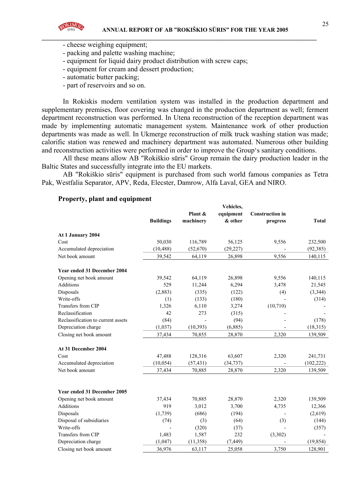

**\_\_\_\_\_\_\_\_\_\_\_\_\_\_\_\_\_\_\_\_\_\_\_\_\_\_\_\_\_\_\_\_\_\_\_\_\_\_\_\_\_\_\_\_\_\_\_\_\_\_\_\_\_\_\_\_\_\_\_\_\_\_\_\_\_\_\_\_\_\_\_\_\_\_\_\_\_\_\_\_\_\_\_\_\_** 

- cheese weighing equipment;
- packing and palette washing machine;
- equipment for liquid dairy product distribution with screw caps;
- equipment for cream and dessert production;
- automatic butter packing;
- part of reservoirs and so on.

 In Rokiskis modern ventilation system was installed in the production department and supplementary premises, floor covering was changed in the production department as well; ferment department reconstruction was performed. In Utena reconstruction of the reception department was made by implementing automatic management system. Maintenance work of other production departments was made as well. In Ukmerge reconstruction of milk truck washing station was made; calorific station was renewed and machinery department was automated. Numerous other building and reconstruction activities were performed in order to improve the Group's sanitary conditions.

 All these means allow AB "Rokiškio sūris" Group remain the dairy production leader in the Baltic States and successfully integrate into the EU markets.

 AB "Rokiškio sūris" equipment is purchased from such world famous companies as Tetra Pak, Westfalia Separator, APV, Reda, Elecster, Damrow, Alfa Laval, GEA and NIRO.

**Vehicles,** 

|                                    |                  |           | venicles, |                        |              |  |
|------------------------------------|------------------|-----------|-----------|------------------------|--------------|--|
|                                    |                  | Plant &   | equipment | <b>Construction</b> in |              |  |
|                                    | <b>Buildings</b> | machinery | & other   | progress               | <b>Total</b> |  |
| At 1 January 2004                  |                  |           |           |                        |              |  |
| Cost                               | 50,030           | 116,789   | 56,125    | 9,556                  | 232,500      |  |
| Accumulated depreciation           | (10, 488)        | (52,670)  | (29, 227) |                        | (92, 385)    |  |
| Net book amount                    | 39,542           | 64,119    | 26,898    | 9,556                  | 140,115      |  |
| Year ended 31 December 2004        |                  |           |           |                        |              |  |
| Opening net book amount            | 39,542           | 64,119    | 26,898    | 9,556                  | 140,115      |  |
| <b>Additions</b>                   | 529              | 11,244    | 6,294     | 3,478                  | 21,545       |  |
| Disposals                          | (2,883)          | (335)     | (122)     | (4)                    | (3, 344)     |  |
| Write-offs                         | (1)              | (133)     | (180)     |                        | (314)        |  |
| Transfers from CIP                 | 1,326            | 6,110     | 3,274     | (10, 710)              |              |  |
| Reclassification                   | 42               | 273       | (315)     |                        |              |  |
| Reclassification to current assets | (84)             |           | (94)      |                        | (178)        |  |
| Depreciation charge                | (1,037)          | (10, 393) | (6,885)   |                        | (18, 315)    |  |
| Closing net book amount            | 37,434           | 70,855    | 28,870    | 2,320                  | 139,509      |  |
| At 31 December 2004                |                  |           |           |                        |              |  |
| Cost                               | 47,488           | 128,316   | 63,607    | 2,320                  | 241,731      |  |
| Accumulated depreciation           | (10, 054)        | (57, 431) | (34, 737) |                        | (102, 222)   |  |
| Net book amount                    | 37,434           | 70,885    | 28,870    | 2,320                  | 139,509      |  |
| <b>Year ended 31 December 2005</b> |                  |           |           |                        |              |  |
|                                    |                  |           |           |                        |              |  |
| Opening net book amount            | 37,434           | 70,885    | 28,870    | 2,320                  | 139,509      |  |
| Additions                          | 919              | 3,012     | 3,700     | 4,735                  | 12,366       |  |
| Disposals                          | (1,739)          | (686)     | (194)     |                        | (2,619)      |  |
| Disposal of subsidiaries           | (74)             | (3)       | (64)      | (3)                    | (144)        |  |
| Write-offs                         |                  | (320)     | (37)      |                        | (357)        |  |
| Transfers from CIP                 | 1,483            | 1,587     | 232       | (3,302)                |              |  |
| Depreciation charge                | (1,047)          | (11,358)  | (7, 449)  |                        | (19, 854)    |  |
| Closing net book amount            | 36,976           | 63,117    | 25,058    | 3,750                  | 128,901      |  |

#### **Property, plant and equipment**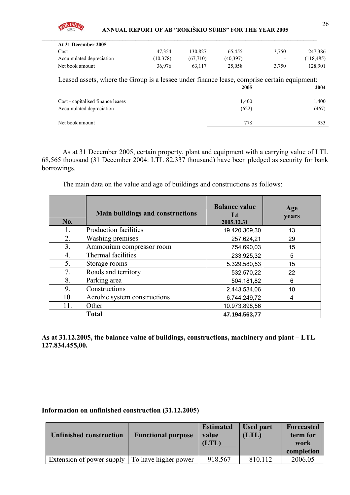

#### **ANNUAL REPORT OF AB "ROKIŠKIO SŪRIS" FOR THE YEAR 2005**

| At 31 December 2005      |          |          |          |                          |            |
|--------------------------|----------|----------|----------|--------------------------|------------|
| Cost                     | 47.354   | 130.827  | 65.455   | 3,750                    | 247,386    |
| Accumulated depreciation | (10.378) | (67.710) | (40.397) | $\overline{\phantom{0}}$ | (118, 485) |
| Net book amount          | 36,976   | 63.117   | 25,058   | 3,750                    | 128.901    |

Leased assets, where the Group is a lessee under finance lease, comprise certain equipment:<br>2005 **2005 2004**  Cost - capitalised finance leases 1,400 1,400 Accumulated depreciation (622) (467) Net book amount 1778 933

As at 31 December 2005, certain property, plant and equipment with a carrying value of LTL 68,565 thousand (31 December 2004: LTL 82,337 thousand) have been pledged as security for bank borrowings.

The main data on the value and age of buildings and constructions as follows:

| No. | <b>Main buildings and constructions</b> | <b>Balance value</b><br>Lt<br>2005.12.31 | Age<br>years |
|-----|-----------------------------------------|------------------------------------------|--------------|
| 1.  | Production facilities                   | 19.420.309,30                            | 13           |
| 2.  | <b>Washing premises</b>                 | 257.624,21                               | 29           |
| 3.  | Ammonium compressor room                | 754.690,03                               | 15           |
| 4.  | Thermal facilities                      | 233.925,32                               | 5            |
| 5.  | Storage rooms                           | 5.329.580,53                             | 15           |
| 7.  | Roads and territory                     | 532.570,22                               | 22           |
| 8.  | Parking area                            | 504.181,82                               | 6            |
| 9.  | Constructions                           | 2.443.534,06                             | 10           |
| 10. | Aerobic system constructions            | 6.744.249,72                             | 4            |
| 11. | Other                                   | 10.973.898,56                            |              |
|     | Total                                   | 47.194.563,77                            |              |

**As at 31.12.2005, the balance value of buildings, constructions, machinery and plant – LTL 127.834.455,00.** 

#### **Information on unfinished construction (31.12.2005)**

| <b>Unfinished construction</b>                   | <b>Functional purpose</b> | <b>Estimated</b><br>value<br>(LTL) | <b>Used part</b><br>(LTL) | <b>Forecasted</b><br>term for<br>work<br>completion |
|--------------------------------------------------|---------------------------|------------------------------------|---------------------------|-----------------------------------------------------|
| Extension of power supply   To have higher power |                           | 918.567                            | 810.112                   | 2006.05                                             |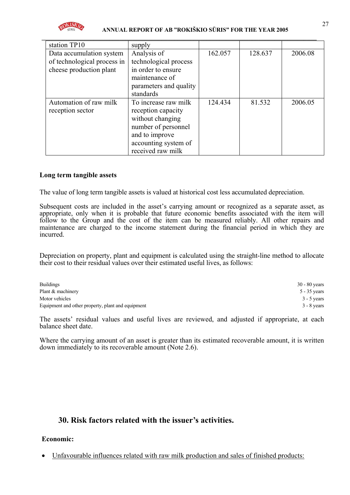

#### **ANNUAL REPORT OF AB "ROKIŠKIO SŪRIS" FOR THE YEAR 2005**

**\_\_\_\_\_\_\_\_\_\_\_\_\_\_\_\_\_\_\_\_\_\_\_\_\_\_\_\_\_\_\_\_\_\_\_\_\_\_\_\_\_\_\_\_\_\_\_\_\_\_\_\_\_\_\_\_\_\_\_\_\_\_\_\_\_\_\_\_\_\_\_\_\_\_\_\_\_\_\_\_\_\_\_\_\_** 

| station TP10                | supply                 |         |         |         |
|-----------------------------|------------------------|---------|---------|---------|
| Data accumulation system    | Analysis of            | 162.057 | 128.637 | 2006.08 |
| of technological process in | technological process  |         |         |         |
| cheese production plant     | in order to ensure     |         |         |         |
|                             | maintenance of         |         |         |         |
|                             | parameters and quality |         |         |         |
|                             | standards              |         |         |         |
| Automation of raw milk      | To increase raw milk   | 124.434 | 81.532  | 2006.05 |
| reception sector            | reception capacity     |         |         |         |
|                             | without changing       |         |         |         |
|                             | number of personnel    |         |         |         |
|                             | and to improve         |         |         |         |
|                             | accounting system of   |         |         |         |
|                             | received raw milk      |         |         |         |

#### **Long term tangible assets**

The value of long term tangible assets is valued at historical cost less accumulated depreciation.

Subsequent costs are included in the asset's carrying amount or recognized as a separate asset, as appropriate, only when it is probable that future economic benefits associated with the item will follow to the Group and the cost of the item can be measured reliably. All other repairs and maintenance are charged to the income statement during the financial period in which they are incurred.

Depreciation on property, plant and equipment is calculated using the straight-line method to allocate their cost to their residual values over their estimated useful lives, as follows:

| <b>Buildings</b>                                  | $30 - 80$ years |
|---------------------------------------------------|-----------------|
| Plant & machinery                                 | $5 - 35$ years  |
| Motor vehicles                                    | $3 - 5$ years   |
| Equipment and other property, plant and equipment | $3 - 8$ years   |

The assets' residual values and useful lives are reviewed, and adjusted if appropriate, at each balance sheet date.

Where the carrying amount of an asset is greater than its estimated recoverable amount, it is written down immediately to its recoverable amount (Note 2.6).

# **30. Risk factors related with the issuer's activities.**

#### **Economic:**

Unfavourable influences related with raw milk production and sales of finished products: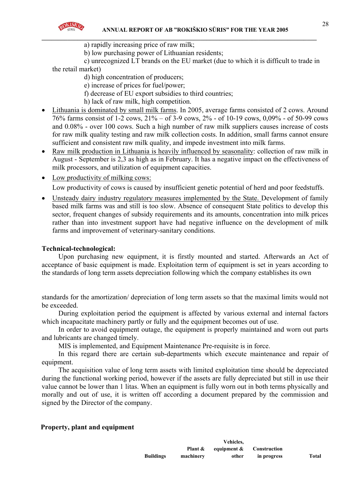

a) rapidly increasing price of raw milk;

b) low purchasing power of Lithuanian residents;

 c) unrecognized LT brands on the EU market (due to which it is difficult to trade in the retail market)

**\_\_\_\_\_\_\_\_\_\_\_\_\_\_\_\_\_\_\_\_\_\_\_\_\_\_\_\_\_\_\_\_\_\_\_\_\_\_\_\_\_\_\_\_\_\_\_\_\_\_\_\_\_\_\_\_\_\_\_\_\_\_\_\_\_\_\_\_\_\_\_\_\_\_\_\_\_\_\_\_\_\_\_\_\_** 

- d) high concentration of producers;
- e) increase of prices for fuel/power;
- f) decrease of EU export subsidies to third countries;
- h) lack of raw milk, high competition.
- Lithuania is dominated by small milk farms. In 2005, average farms consisted of 2 cows. Around 76% farms consist of 1-2 cows, 21% – of 3-9 cows, 2% - of 10-19 cows, 0,09% - of 50-99 cows and 0.08% - over 100 cows. Such a high number of raw milk suppliers causes increase of costs for raw milk quality testing and raw milk collection costs. In addition, small farms cannot ensure sufficient and consistent raw milk quality, and impede investment into milk farms.
- Raw milk production in Lithuania is heavily influenced by seasonality: collection of raw milk in August - September is 2,3 as high as in February. It has a negative impact on the effectiveness of milk processors, and utilization of equipment capacities.
- Low productivity of milking cows:

Low productivity of cows is caused by insufficient genetic potential of herd and poor feedstuffs.

• Unsteady dairy industry regulatory measures implemented by the State. Development of family based milk farms was and still is too slow. Absence of consequent State politics to develop this sector, frequent changes of subsidy requirements and its amounts, concentration into milk prices rather than into investment support have had negative influence on the development of milk farms and improvement of veterinary-sanitary conditions.

#### **Technical-technological:**

Upon purchasing new equipment, it is firstly mounted and started. Afterwards an Act of acceptance of basic equipment is made. Exploitation term of equipment is set in years according to the standards of long term assets depreciation following which the company establishes its own

standards for the amortization/ depreciation of long term assets so that the maximal limits would not be exceeded.

During exploitation period the equipment is affected by various external and internal factors which incapacitate machinery partly or fully and the equipment becomes out of use.

In order to avoid equipment outage, the equipment is properly maintained and worn out parts and lubricants are changed timely.

MIS is implemented, and Equipment Maintenance Pre-requisite is in force.

In this regard there are certain sub-departments which execute maintenance and repair of equipment.

The acquisition value of long term assets with limited exploitation time should be depreciated during the functional working period, however if the assets are fully depreciated but still in use their value cannot be lower than 1 litas. When an equipment is fully worn out in both terms physically and morally and out of use, it is written off according a document prepared by the commission and signed by the Director of the company.

#### **Property, plant and equipment**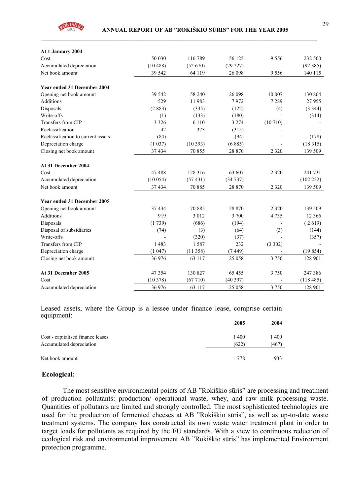

**\_\_\_\_\_\_\_\_\_\_\_\_\_\_\_\_\_\_\_\_\_\_\_\_\_\_\_\_\_\_\_\_\_\_\_\_\_\_\_\_\_\_\_\_\_\_\_\_\_\_\_\_\_\_\_\_\_\_\_\_\_\_\_\_\_\_\_\_\_\_\_\_\_\_\_\_\_\_\_\_\_\_\_\_\_** 

| At 1 January 2004                  |         |         |          |         |           |
|------------------------------------|---------|---------|----------|---------|-----------|
| Cost                               | 50 030  | 116 789 | 56 125   | 9556    | 232 500   |
| Accumulated depreciation           | (10488) | (52670) | (29 227) |         | (92385)   |
| Net book amount                    | 39 542  | 64 119  | 26 098   | 9 5 5 6 | 140 115   |
|                                    |         |         |          |         |           |
| Year ended 31 December 2004        |         |         |          |         |           |
| Opening net book amount            | 39 542  | 58 240  | 26 098   | 10 007  | 130 864   |
| <b>Additions</b>                   | 529     | 11983   | 7972     | 7289    | 27955     |
| Disposals                          | (2883)  | (335)   | (122)    | (4)     | (3344)    |
| Write-offs                         | (1)     | (133)   | (180)    |         | (314)     |
| Transfers from CIP                 | 3 3 2 6 | 6 1 1 0 | 3 2 7 4  | (10710) |           |
| Reclassification                   | 42      | 373     | (315)    |         |           |
| Reclassification to current assets | (84)    |         | (94)     |         | (178)     |
| Depreciation charge                | (1037)  | (10393) | (6885)   |         | (18315)   |
| Closing net book amount            | 37 434  | 70 855  | 28 870   | 2 3 2 0 | 139 509   |
|                                    |         |         |          |         |           |
| At 31 December 2004                |         |         |          |         |           |
| Cost                               | 47488   | 128 316 | 63 607   | 2 3 2 0 | 241 731   |
| Accumulated depreciation           | (10054) | (57431) | (34737)  |         | (102 222) |
| Net book amount                    | 37 434  | 70 885  | 28 870   | 2 3 2 0 | 139 509   |
|                                    |         |         |          |         |           |
| <b>Year ended 31 December 2005</b> |         |         |          |         |           |
| Opening net book amount            | 37 434  | 70 885  | 28 870   | 2 3 2 0 | 139 509   |
| <b>Additions</b>                   | 919     | 3 0 1 2 | 3 700    | 4735    | 12 3 6 6  |
| Disposals                          | (1739)  | (686)   | (194)    | ÷       | (2619)    |
| Disposal of subsidiaries           | (74)    | (3)     | (64)     | (3)     | (144)     |
| Write-offs                         |         | (320)   | (37)     |         | (357)     |
| Transfers from CIP                 | 1483    | 1587    | 232      | (3302)  |           |
| Depreciation charge                | (1047)  | (11358) | (7449)   |         | (19854)   |
| Closing net book amount            | 36 976  | 63 117  | 25 058   | 3 7 5 0 | 128 901   |
|                                    |         |         |          |         |           |
| At 31 December 2005                | 47 3 54 | 130 827 | 65455    | 3 7 5 0 | 247 386   |
| Cost                               | (10378) | (67710) | (40397)  |         | (118485)  |
| Accumulated depreciation           | 36 976  | 63 117  | 25 058   | 3 7 5 0 | 128 901   |

Leased assets, where the Group is a lessee under finance lease, comprise certain equipment:

|                                   | 2005  | 2004  |
|-----------------------------------|-------|-------|
| Cost - capitalised finance leases | 1 400 | 1400  |
| Accumulated depreciation          | (622) | (467) |
| Net book amount                   | 778   | 933   |

#### **Ecological:**

The most sensitive environmental points of AB "Rokiškio sūris" are processing and treatment of production pollutants: production/ operational waste, whey, and raw milk processing waste. Quantities of pollutants are limited and strongly controlled. The most sophisticated technologies are used for the production of fermented cheeses at AB "Rokiškio sūris", as well as up-to-date waste treatment systems. The company has constructed its own waste water treatment plant in order to target loads for pollutants as required by the EU standards. With a view to continuous reduction of ecological risk and environmental improvement AB "Rokiškio sūris" has implemented Environment protection programme.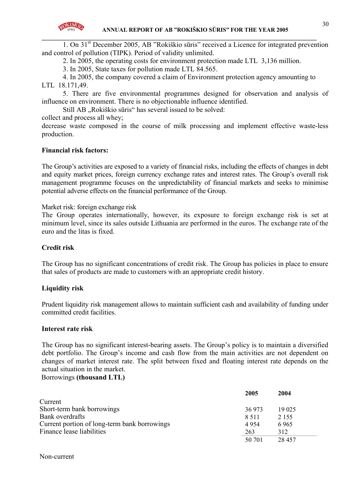

**\_\_\_\_\_\_\_\_\_\_\_\_\_\_\_\_\_\_\_\_\_\_\_\_\_\_\_\_\_\_\_\_\_\_\_\_\_\_\_\_\_\_\_\_\_\_\_\_\_\_\_\_\_\_\_\_\_\_\_\_\_\_\_\_\_\_\_\_\_\_\_\_\_\_\_\_\_\_\_\_\_\_\_\_\_**  1. On 31st December 2005, AB "Rokiškio sūris" received a Licence for integrated prevention and control of pollution (TIPK). Period of validity unlimited.

2. In 2005, the operating costs for environment protection made LTL 3,136 million.

3. In 2005, State taxes for pollution made LTL 84.565.

4. In 2005, the company covered a claim of Environment protection agency amounting to LTL 18.171,49.

5. There are five environmental programmes designed for observation and analysis of influence on environment. There is no objectionable influence identified.

Still AB "Rokiškio sūris" has several issued to be solved:

collect and process all whey;

decrease waste composed in the course of milk processing and implement effective waste-less production.

#### **Financial risk factors:**

The Group's activities are exposed to a variety of financial risks, including the effects of changes in debt and equity market prices, foreign currency exchange rates and interest rates. The Group's overall risk management programme focuses on the unpredictability of financial markets and seeks to minimise potential adverse effects on the financial performance of the Group.

Market risk: foreign exchange risk

The Group operates internationally, however, its exposure to foreign exchange risk is set at minimum level, since its sales outside Lithuania are performed in the euros. The exchange rate of the euro and the litas is fixed.

#### **Credit risk**

The Group has no significant concentrations of credit risk. The Group has policies in place to ensure that sales of products are made to customers with an appropriate credit history.

#### **Liquidity risk**

Prudent liquidity risk management allows to maintain sufficient cash and availability of funding under committed credit facilities.

#### **Interest rate risk**

The Group has no significant interest-bearing assets. The Group's policy is to maintain a diversified debt portfolio. The Group's income and cash flow from the main activities are not dependent on changes of market interest rate. The split between fixed and floating interest rate depends on the actual situation in the market.

Borrowings **(thousand LTL)** 

|                                              | 2005    | 2004    |  |
|----------------------------------------------|---------|---------|--|
| Current                                      |         |         |  |
| Short-term bank borrowings                   | 36 973  | 19 025  |  |
| Bank overdrafts                              | 8 5 1 1 | 2 1 5 5 |  |
| Current portion of long-term bank borrowings | 4954    | 6965    |  |
| Finance lease liabilities                    | 263     | 312     |  |
|                                              | 50 701  | 28 457  |  |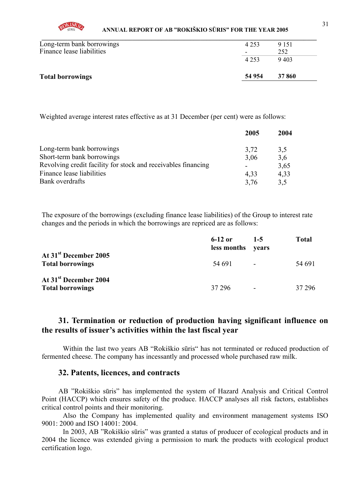

#### **ANNUAL REPORT OF AB "ROKIŠKIO SŪRIS" FOR THE YEAR 2005**

| <b>Total borrowings</b>   | 54 954  | 37 860  |  |
|---------------------------|---------|---------|--|
|                           | 4 2 5 3 | 9403    |  |
| Finance lease liabilities |         | 252     |  |
| Long-term bank borrowings | 4 2 5 3 | 9 1 5 1 |  |

Weighted average interest rates effective as at 31 December (per cent) were as follows:

|                                                               | 2005 | 2004 |
|---------------------------------------------------------------|------|------|
| Long-term bank borrowings                                     | 3,72 | 3,5  |
| Short-term bank borrowings                                    | 3,06 | 3,6  |
| Revolving credit facility for stock and receivables financing |      | 3,65 |
| Finance lease liabilities                                     | 4.33 | 4,33 |
| Bank overdrafts                                               | 3,76 | 3,5  |

The exposure of the borrowings (excluding finance lease liabilities) of the Group to interest rate changes and the periods in which the borrowings are repriced are as follows:

|                                                              | $6-12$ or<br>less months | $1 - 5$<br>years         | <b>Total</b> |
|--------------------------------------------------------------|--------------------------|--------------------------|--------------|
| At 31 <sup>st</sup> December 2005<br><b>Total borrowings</b> | 54 691                   | $\blacksquare$           | 54 691       |
| At 31 <sup>st</sup> December 2004<br><b>Total borrowings</b> | 37 29 6                  | $\overline{\phantom{a}}$ | 37 296       |

# **31. Termination or reduction of production having significant influence on the results of issuer's activities within the last fiscal year**

 Within the last two years AB "Rokiškio sūris" has not terminated or reduced production of fermented cheese. The company has incessantly and processed whole purchased raw milk.

#### **32. Patents, licences, and contracts**

AB "Rokiškio sūris" has implemented the system of Hazard Analysis and Critical Control Point (HACCP) which ensures safety of the produce. HACCP analyses all risk factors, establishes critical control points and their monitoring.

 Also the Company has implemented quality and environment management systems ISO 9001: 2000 and ISO 14001: 2004.

 In 2003, AB "Rokiškio sūris" was granted a status of producer of ecological products and in 2004 the licence was extended giving a permission to mark the products with ecological product certification logo.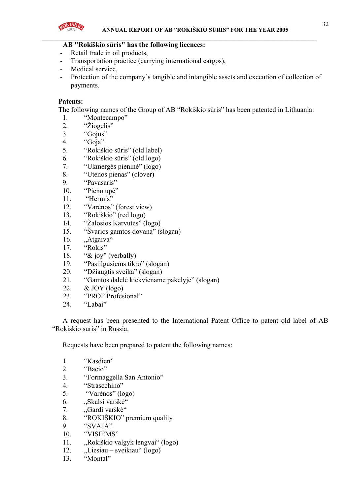

**\_\_\_\_\_\_\_\_\_\_\_\_\_\_\_\_\_\_\_\_\_\_\_\_\_\_\_\_\_\_\_\_\_\_\_\_\_\_\_\_\_\_\_\_\_\_\_\_\_\_\_\_\_\_\_\_\_\_\_\_\_\_\_\_\_\_\_\_\_\_\_\_\_\_\_\_\_\_\_\_\_\_\_\_\_** 

#### **AB "Rokiškio sūris" has the following licences:**

- Retail trade in oil products,
- Transportation practice (carrying international cargos),
- Medical service.
- Protection of the company's tangible and intangible assets and execution of collection of payments.

#### **Patents:**

The following names of the Group of AB "Rokiškio sūris" has been patented in Lithuania:

- 1. "Montecampo"
- 2. "Žiogelis"
- 3. "Gojus"
- 4. "Goja"
- 5. "Rokiškio sūris" (old label)
- 6. "Rokiškio sūris" (old logo)
- 7. "Ukmergės pieninė" (logo)
- 8. "Utenos pienas" (clover)
- 9. "Pavasaris"
- 10. "Pieno upė"
- 11 "Hermis"
- 12. "Varėnos" (forest view)
- 13. "Rokiškio" (red logo)
- 14. "Žalosios Karvutės" (logo)
- 15. "Švarios gamtos dovana" (slogan)
- 16. "Atgaiva"
- 17. "Rokis"
- 18. "& joy" (verbally)
- 19. "Pasiilgusiems tikro" (slogan)
- 20. "Džiaugtis sveika" (slogan)
- 21. "Gamtos dalelė kiekviename pakelyje" (slogan)
- 22.  $&$  JOY (logo)
- 23. "PROF Profesional"
- 24. "Labai"

A request has been presented to the International Patent Office to patent old label of AB "Rokiškio sūris" in Russia.

Requests have been prepared to patent the following names:

- 1. "Kasdien"
- 2. "Bacio"
- 3. "Formaggella San Antonio"
- 4. "Strascchino"
- 5. "Varėnos" (logo)
- 6. "Skalsi varškė"
- 7. "Gardi varškė"
- 8. "ROKIŠKIO" premium quality
- 9. "SVAJA"
- 10. "VISIEMS"
- 11. "Rokiškio valgyk lengvai" (logo)
- 12. "Liesiau sveikiau" (logo)
- 13. "Montal"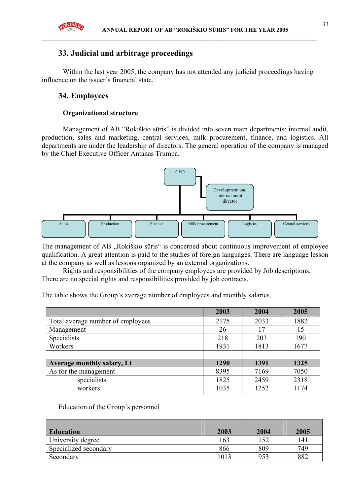

# **33. Judicial and arbitrage proceedings**

Within the last year 2005, the company has not attended any judicial proceedings having influence on the issuer's financial state.

# **34. Employees**

#### **Organizational structure**

Management of AB "Rokiškio sūris" is divided into seven main departments: internal audit, production, sales and marketing, central services, milk procurement, finance, and logistics. All departments are under the leadership of directors. The general operation of the company is managed by the Chief Executive Officer Antanas Trumpa.



The management of AB "Rokiškio sūris" is concerned about continuous improvement of employee qualification. A great attention is paid to the studies of foreign languages. There are language lesson at the company as well as lessons organized by an external organizations.

Rights and responsibilities of the company employees are provided by Job descriptions. There are no special rights and responsibilities provided by job contracts.

The table shows the Group's average number of employees and monthly salaries.

|                                   | 2003 | 2004 | 2005 |
|-----------------------------------|------|------|------|
| Total average number of employees | 2175 | 2033 | 1882 |
| Management                        | 26   | 17   | 15   |
| Specialists                       | 218  | 203  | 190  |
| Workers                           | 1931 | 1813 | 1677 |
|                                   |      |      |      |
| Average monthly salary, Lt        | 1290 | 1391 | 1325 |
| As for the management             | 8395 | 7169 | 7050 |
| specialists                       | 1825 | 2459 | 2318 |
| workers                           | 1035 | 1252 | 1174 |

Education of the Group's personnel

| <b>Education</b>      | 2003 | 2004 | 2005 |
|-----------------------|------|------|------|
| University degree     | 163  | 152  | 141  |
| Specialized secondary | 866  | 809  | 749  |
| Secondary             | 1013 | 953  | 882  |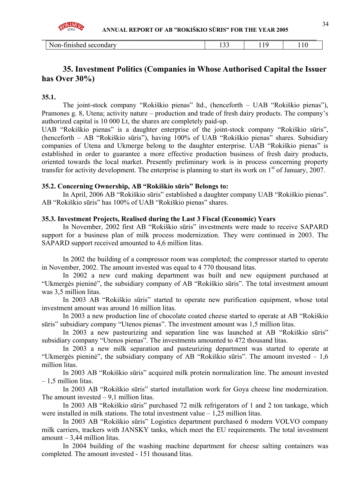

| $\sim$<br>ำท-†บทบร.<br>N.<br>sec<br>ongai l<br>.<br>N | . | -<br>$\sim$ | $\overline{ }$<br>__ |
|-------------------------------------------------------|---|-------------|----------------------|

# **35. Investment Politics (Companies in Whose Authorised Capital the Issuer has Over 30%)**

#### **35.1.**

 The joint-stock company "Rokiškio pienas" ltd., (henceforth – UAB "Rokiškio pienas"), Pramones g. 8, Utena; activity nature – production and trade of fresh dairy products. The company's authorized capital is 10 000 Lt, the shares are completely paid-up.

UAB "Rokiškio pienas" is a daughter enterprise of the joint-stock company "Rokiškio sūris", (henceforth – AB "Rokiškio sūris"), having 100% of UAB "Rokiškio pienas" shares. Subsidiary companies of Utena and Ukmerge belong to the daughter enterprise. UAB "Rokiškio pienas" is established in order to guarantee a more effective production business of fresh dairy products, oriented towards the local market. Presently preliminary work is in process concerning property transfer for activity development. The enterprise is planning to start its work on  $1<sup>st</sup>$  of January, 2007.

#### **35.2. Concerning Ownership, AB "Rokiškio sūris" Belongs to:**

 In April, 2006 AB "Rokiškio sūris" established a daughter company UAB "Rokiškio pienas". AB "Rokiškio sūris" has 100% of UAB "Rokiškio pienas" shares.

#### **35.3. Investment Projects, Realised during the Last 3 Fiscal (Economic) Years**

In November, 2002 first AB "Rokiškio sūris" investments were made to receive SAPARD support for a business plan of milk process modernization. They were continued in 2003. The SAPARD support received amounted to 4,6 million litas.

 In 2002 the building of a compressor room was completed; the compressor started to operate in November, 2002. The amount invested was equal to 4 770 thousand litas.

 In 2002 a new curd making department was built and new equipment purchased at "Ukmergės pieninė", the subsidiary company of AB "Rokiškio sūris". The total investment amount was 3,5 million litas.

 In 2003 AB "Rokiškio sūris" started to operate new purification equipment, whose total investment amount was around 16 million litas.

 In 2003 a new production line of chocolate coated cheese started to operate at AB "Rokiškio sūris" subsidiary company "Utenos pienas". The investment amount was 1,5 million litas.

 In 2003 a new pasteurizing and separation line was launched at AB "Rokiškio sūris" subsidiary company "Utenos pienas". The investments amounted to 472 thousand litas.

 In 2003 a new milk separation and pasteurizing department was started to operate at "Ukmergės pieninė", the subsidiary company of AB "Rokiškio sūris". The amount invested – 1,6 million litas.

 In 2003 AB "Rokiškio sūris" acquired milk protein normalization line. The amount invested – 1,5 million litas.

 In 2003 AB "Rokiškio sūris" started installation work for Goya cheese line modernization. The amount invested – 9,1 million litas.

 In 2003 AB "Rokiškio sūris" purchased 72 milk refrigerators of 1 and 2 ton tankage, which were installed in milk stations. The total investment value – 1,25 million litas.

 In 2003 AB "Rokiškio sūris" Logistics department purchased 6 modern VOLVO company milk carriers, trackers with JANSKY tanks, which meet the EU requirements. The total investment amount – 3,44 million litas.

 In 2004 building of the washing machine department for cheese salting containers was completed. The amount invested - 151 thousand litas.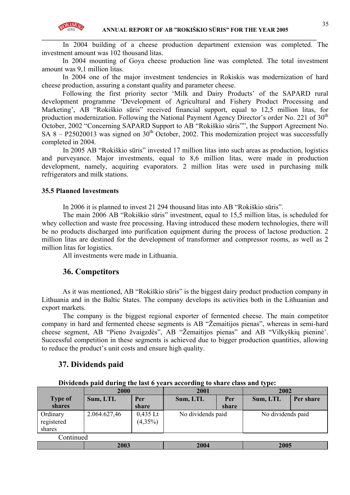

 In 2004 building of a cheese production department extension was completed. The investment amount was 102 thousand litas.

**\_\_\_\_\_\_\_\_\_\_\_\_\_\_\_\_\_\_\_\_\_\_\_\_\_\_\_\_\_\_\_\_\_\_\_\_\_\_\_\_\_\_\_\_\_\_\_\_\_\_\_\_\_\_\_\_\_\_\_\_\_\_\_\_\_\_\_\_\_\_\_\_\_\_\_\_\_\_\_\_\_\_\_\_\_** 

In 2004 mounting of Goya cheese production line was completed. The total investment amount was 9,1 million litas.

In 2004 one of the major investment tendencies in Rokiskis was modernization of hard cheese production, assuring a constant quality and parameter cheese.

Following the first priority sector 'Milk and Dairy Products' of the SAPARD rural development programme 'Development of Agricultural and Fishery Product Processing and Marketing', AB "Rokiškio sūris" received financial support, equal to 12,5 million litas, for production modernization. Following the National Payment Agency Director's order No. 221 of 30<sup>th</sup> October, 2002 "Concerning SAPARD Support to AB "Rokiškio sūris"", the Support Agreement No. SA  $8 - P25020013$  was signed on  $30<sup>th</sup>$  October, 2002. This modernization project was successfully completed in 2004.

 In 2005 AB "Rokiškio sūris" invested 17 million litas into such areas as production, logistics and purveyance. Major investments, equal to 8,6 million litas, were made in production development, namely, acquiring evaporators. 2 million litas were used in purchasing milk refrigerators and milk stations.

#### **35.5 Planned Investments**

In 2006 it is planned to invest 21 294 thousand litas into AB "Rokiškio sūris".

 The main 2006 AB "Rokiškio sūris" investment, equal to 15,5 million litas, is scheduled for whey collection and waste free processing. Having introduced these modern technologies, there will be no products discharged into purification equipment during the process of lactose production. 2 million litas are destined for the development of transformer and compressor rooms, as well as 2 million litas for logistics.

All investments were made in Lithuania.

#### **36. Competitors**

As it was mentioned, AB "Rokiškio sūris" is the biggest dairy product production company in Lithuania and in the Baltic States. The company develops its activities both in the Lithuanian and export markets.

 The company is the biggest regional exporter of fermented cheese. The main competitor company in hard and fermented cheese segments is AB "Žemaitijos pienas", whereas in semi-hard cheese segment, AB "Pieno žvaigzdės", AB "Žemaitijos pienas" and AB "Vilkyškių pieninė'. Successful competition in these segments is achieved due to bigger production quantities, allowing to reduce the product's unit costs and ensure high quality.

# **37. Dividends paid**

|                                  |              | 2000                     |                   | 2001  |                   | 2002      |  |  |
|----------------------------------|--------------|--------------------------|-------------------|-------|-------------------|-----------|--|--|
| <b>Type of</b>                   | Sum, LTL     | Per                      | Sum, LTL          | Per   | Sum, LTL          | Per share |  |  |
| shares                           |              | share                    |                   | share |                   |           |  |  |
| Ordinary<br>registered<br>shares | 2.064.627,46 | $0,435$ Lt<br>$(4,35\%)$ | No dividends paid |       | No dividends paid |           |  |  |
| Continued                        |              |                          |                   |       |                   |           |  |  |
|                                  | 2003         |                          | 2004              |       | 2005              |           |  |  |

**Dividends paid during the last 6 years according to share class and type:**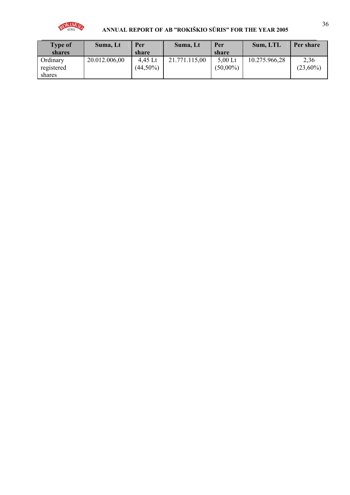

# **ANNUAL REPORT OF AB "ROKIŠKIO SŪRIS" FOR THE YEAR 2005**

| <b>Type of</b> | Suma, Lt      | Per         | Suma, Lt      | Per         | Sum, LTL      | Per share   |
|----------------|---------------|-------------|---------------|-------------|---------------|-------------|
| shares         |               | share       |               | share       |               |             |
| Ordinary       | 20.012.006,00 | $4.45$ Lt   | 21.771.115,00 | $5,00$ Lt   | 10.275.966,28 | 2,36        |
| registered     |               | $(44,50\%)$ |               | $(50,00\%)$ |               | $(23,60\%)$ |
| shares         |               |             |               |             |               |             |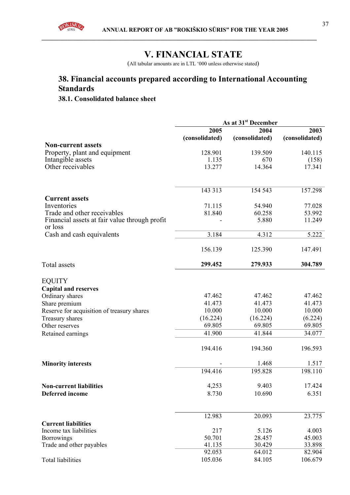

# **V. FINANCIAL STATE**

(All tabular amounts are in LTL '000 unless otherwise stated)

# **38. Financial accounts prepared according to International Accounting Standards**

# **38.1. Consolidated balance sheet**

|                                                          |                | As at 31 <sup>st</sup> December |                |
|----------------------------------------------------------|----------------|---------------------------------|----------------|
|                                                          | 2005           | 2004                            | 2003           |
|                                                          | (consolidated) | (consolidated)                  | (consolidated) |
| <b>Non-current assets</b>                                |                |                                 |                |
| Property, plant and equipment                            | 128.901        | 139.509                         | 140.115        |
| Intangible assets                                        | 1.135          | 670                             | (158)          |
| Other receivables                                        | 13.277         | 14.364                          | 17.341         |
|                                                          | 143 313        | 154 543                         | 157.298        |
| <b>Current assets</b>                                    |                |                                 |                |
| Inventories                                              | 71.115         | 54.940                          | 77.028         |
| Trade and other receivables                              | 81.840         | 60.258                          | 53.992         |
| Financial assets at fair value through profit<br>or loss |                | 5.880                           | 11.249         |
| Cash and cash equivalents                                | 3.184          | 4.312                           | 5.222          |
|                                                          | 156.139        | 125.390                         | 147.491        |
| Total assets                                             | 299.452        | 279.933                         | 304.789        |
| <b>EQUITY</b>                                            |                |                                 |                |
| <b>Capital and reserves</b>                              |                |                                 |                |
| Ordinary shares                                          | 47.462         | 47.462                          | 47.462         |
| Share premium                                            | 41.473         | 41.473                          | 41.473         |
| Reserve for acquisition of treasury shares               | 10.000         | 10.000                          | 10.000         |
| Treasury shares                                          | (16.224)       | (16.224)                        | (6.224)        |
| Other reserves                                           | 69.805         | 69.805                          | 69.805         |
| Retained earnings                                        | 41.900         | 41.844                          | 34.077         |
|                                                          | 194.416        | 194.360                         | 196.593        |
| <b>Minority interests</b>                                |                | 1.468                           | 1.517          |
|                                                          | 194.416        | 195.828                         | 198.110        |
| <b>Non-current liabilities</b>                           | 4,253          | 9.403                           | 17.424         |
| <b>Deferred</b> income                                   | 8.730          | 10.690                          | 6.351          |
|                                                          | 12.983         | 20.093                          | 23.775         |
| <b>Current liabilities</b>                               |                |                                 |                |
| Income tax liabilities                                   | 217            | 5.126                           | 4.003          |
| <b>Borrowings</b>                                        | 50.701         | 28.457                          | 45.003         |
| Trade and other payables                                 | 41.135         | 30.429                          | 33.898         |
|                                                          | 92.053         | 64.012                          | 82.904         |
| Total liabilities                                        | 105.036        | 84.105                          | 106.679        |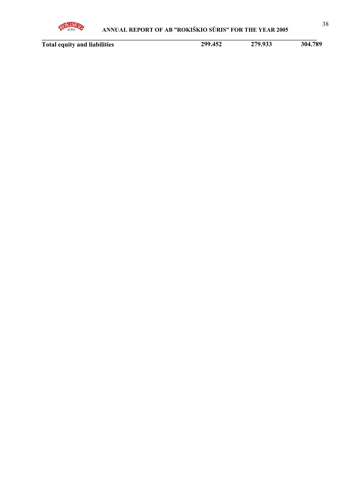

**Total equity and liabilities** 299.452 279.933 304.789

38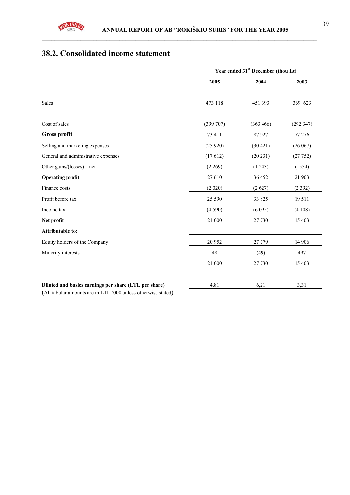

# **38.2. Consolidated income statement**

|                                                       | Year ended 31 <sup>st</sup> December (thou Lt) |           |           |
|-------------------------------------------------------|------------------------------------------------|-----------|-----------|
|                                                       | 2005                                           | 2004      | 2003      |
| Sales                                                 | 473 118                                        | 451 393   | 369 623   |
| Cost of sales                                         | (399 707)                                      | (363 466) | (292 347) |
| <b>Gross profit</b>                                   | 73 411                                         | 87927     | 77 276    |
| Selling and marketing expenses                        | (25920)                                        | (30 421)  | (26067)   |
| General and administrative expenses                   | (17612)                                        | (20 231)  | (27752)   |
| Other gains/(losses) – net                            | (2 269)                                        | (1243)    | (1554)    |
| <b>Operating profit</b>                               | 27 610                                         | 36 452    | 21 903    |
| Finance costs                                         | (2020)                                         | (2627)    | (2392)    |
| Profit before tax                                     | 25 590                                         | 33 825    | 19511     |
| Income tax                                            | (4590)                                         | (6095)    | (4108)    |
| Net profit                                            | 21 000                                         | 27 730    | 15 403    |
| <b>Attributable to:</b>                               |                                                |           |           |
| Equity holders of the Company                         | 20 952                                         | 27 779    | 14 906    |
| Minority interests                                    | 48                                             | (49)      | 497       |
|                                                       | 21 000                                         | 27 730    | 15 403    |
| Diluted and basics earnings per share (LTL per share) | 4,81                                           | 6,21      | 3,31      |

(All tabular amounts are in LTL '000 unless otherwise stated)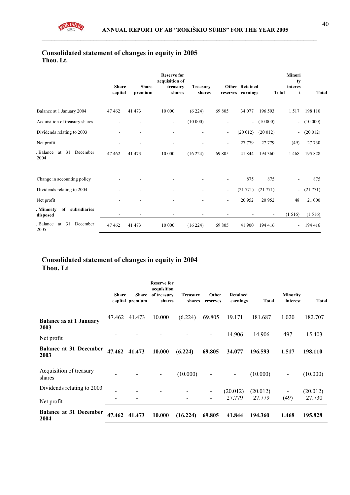**\_\_\_\_\_\_\_\_\_\_\_\_\_\_\_\_\_\_\_\_\_\_\_\_\_\_\_\_\_\_\_\_\_\_\_\_\_\_\_\_\_\_\_\_\_\_\_\_\_\_\_\_\_\_\_\_\_\_\_\_\_\_\_\_\_\_\_\_\_\_\_\_\_\_\_\_\_\_\_\_\_\_\_\_\_** 

#### **Consolidated statement of changes in equity in 2005 Thou. Lt.**

|                                              | <b>Share</b><br>capital  | <b>Share</b><br>premium  | <b>Reserve for</b><br>acquisition of<br>treasury<br>shares | <b>Treasury</b><br>shares |                          | <b>Other Retained</b><br>reserves earnings |                          | Minori<br>ty<br>interes<br><b>Total</b><br>t | Total   |
|----------------------------------------------|--------------------------|--------------------------|------------------------------------------------------------|---------------------------|--------------------------|--------------------------------------------|--------------------------|----------------------------------------------|---------|
| Balance at 1 January 2004                    | 47462                    | 41 473                   | 10 000                                                     | (6224)                    | 69 805                   | 34 077                                     | 196 593                  | 1517                                         | 198 110 |
| Acquisition of treasury shares               |                          |                          | $\blacksquare$                                             | (10000)                   |                          | $\overline{\phantom{a}}$                   | (10000)                  | $\blacksquare$                               | (10000) |
| Dividends relating to 2003                   |                          |                          |                                                            |                           | $\overline{\phantom{a}}$ | (20012)                                    | (20012)                  | $\overline{\phantom{a}}$                     | (20012) |
| Net profit                                   | $\overline{\phantom{a}}$ | $\overline{\phantom{a}}$ | $\overline{\phantom{a}}$                                   |                           | $\overline{\phantom{a}}$ | 27 779                                     | 27 779                   | (49)                                         | 27 730  |
| at $31$<br>Balance<br>December<br>2004       | 47 462                   | 41 473                   | 10 000                                                     | (16224)                   | 69 805                   | 41 844                                     | 194 360                  | 1468                                         | 195 828 |
| Change in accounting policy                  |                          |                          |                                                            |                           | $\overline{\phantom{a}}$ | 875                                        | 875                      | $\blacksquare$                               | 875     |
| Dividends relating to 2004                   |                          |                          |                                                            |                           | $\blacksquare$           | (21771)                                    | (21771)                  | $\overline{\phantom{a}}$                     | (21771) |
| Net profit                                   |                          |                          |                                                            |                           | ٠                        | 20 952                                     | 20 952                   | 48                                           | 21 000  |
| subsidiaries<br>. Minority<br>of<br>disposed |                          |                          |                                                            |                           |                          |                                            | $\overline{\phantom{a}}$ | (1516)                                       | (1516)  |
| 31 December<br>Balance<br>at<br>2005         | 47462                    | 41 473                   | 10 000                                                     | (16224)                   | 69 805                   | 41 900                                     | 194 416                  |                                              | 194 416 |

#### **Consolidated statement of changes in equity in 2004 Thou. Lt**

|                                          | <b>Share</b> | Share<br>capital premium | <b>Reserve for</b><br>acquisition<br>of treasury<br>shares | <b>Treasury</b><br>shares | Other<br>reserves                          | Retained<br>earnings | Total              | <b>Minority</b><br>interest          | Total              |
|------------------------------------------|--------------|--------------------------|------------------------------------------------------------|---------------------------|--------------------------------------------|----------------------|--------------------|--------------------------------------|--------------------|
| <b>Balance as at 1 January</b><br>2003   | 47.462       | 41.473                   | 10.000                                                     | (6.224)                   | 69.805                                     | 19.171               | 181.687            | 1.020                                | 182.707            |
| Net profit                               |              |                          |                                                            |                           | $\overline{\phantom{a}}$                   | 14.906               | 14.906             | 497                                  | 15.403             |
| <b>Balance at 31 December</b><br>2003    | 47.462       | 41.473                   | 10.000                                                     | (6.224)                   | 69.805                                     | 34.077               | 196.593            | 1.517                                | 198.110            |
| Acquisition of treasury<br>shares        |              |                          |                                                            | (10.000)                  |                                            |                      | (10.000)           | $\qquad \qquad \blacksquare$         | (10.000)           |
| Dividends relating to 2003<br>Net profit |              | $\overline{\phantom{a}}$ |                                                            |                           | $\blacksquare$<br>$\overline{\phantom{a}}$ | (20.012)<br>27.779   | (20.012)<br>27.779 | $\qquad \qquad \blacksquare$<br>(49) | (20.012)<br>27.730 |
| <b>Balance at 31 December</b><br>2004    | 47.462       | 41.473                   | 10.000                                                     | (16.224)                  | 69.805                                     | 41.844               | 194.360            | 1.468                                | 195.828            |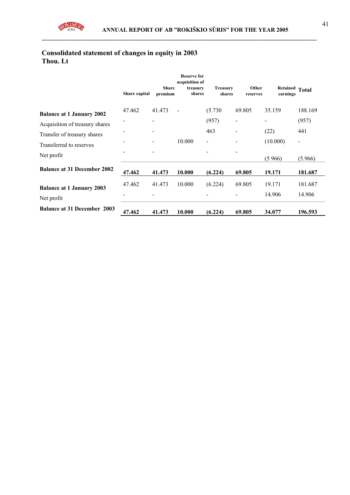

#### **Consolidated statement of changes in equity in 2003 Thou. Lt**

|                                    | Share capital | <b>Share</b><br>premium | <b>Reserve for</b><br>acquisition of<br>treasury<br>shares | <b>Treasury</b><br>shares | Other<br>reserves | Retained Total<br>earnings |         |
|------------------------------------|---------------|-------------------------|------------------------------------------------------------|---------------------------|-------------------|----------------------------|---------|
| <b>Balance at 1 January 2002</b>   | 47.462        | 41.473                  | $\overline{\phantom{a}}$                                   | (5.730)                   | 69.805            | 35.159                     | 188.169 |
| Acquisition of treasury shares     |               |                         |                                                            | (957)                     |                   |                            | (957)   |
| Transfer of treasury shares        |               |                         |                                                            | 463                       |                   | (22)                       | 441     |
| Transferred to reserves            |               |                         | 10.000                                                     | $\overline{\phantom{0}}$  |                   | (10.000)                   | -       |
| Net profit                         |               |                         |                                                            |                           |                   | (5966)                     | (5.966) |
| <b>Balance at 31 December 2002</b> | 47.462        | 41.473                  | 10.000                                                     | (6.224)                   | 69.805            | 19.171                     | 181.687 |
| <b>Balance at 1 January 2003</b>   | 47.462        | 41.473                  | 10.000                                                     | (6.224)                   | 69.805            | 19.171                     | 181.687 |
| Net profit                         |               |                         |                                                            |                           |                   | 14.906                     | 14.906  |
| <b>Balance at 31 December 2003</b> | 47.462        | 41.473                  | 10.000                                                     | (6.224)                   | 69.805            | 34.077                     | 196.593 |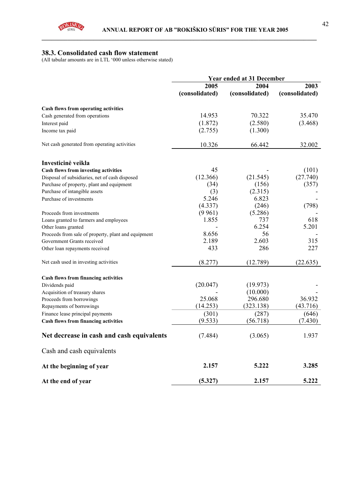

**\_\_\_\_\_\_\_\_\_\_\_\_\_\_\_\_\_\_\_\_\_\_\_\_\_\_\_\_\_\_\_\_\_\_\_\_\_\_\_\_\_\_\_\_\_\_\_\_\_\_\_\_\_\_\_\_\_\_\_\_\_\_\_\_\_\_\_\_\_\_\_\_\_\_\_\_\_\_\_\_\_\_\_\_\_** 

#### **38.3. Consolidated cash flow statement**

(All tabular amounts are in LTL '000 unless otherwise stated)

|                                                     | <b>Year ended at 31 December</b> |                |                |
|-----------------------------------------------------|----------------------------------|----------------|----------------|
|                                                     | 2005                             | 2004           | 2003           |
|                                                     | (consolidated)                   | (consolidated) | (consolidated) |
| Cash flows from operating activities                |                                  |                |                |
| Cash generated from operations                      | 14.953                           | 70.322         | 35.470         |
| Interest paid                                       | (1.872)                          | (2.580)        | (3.468)        |
| Income tax paid                                     | (2.755)                          | (1.300)        |                |
| Net cash generated from operating activities        | 10.326                           | 66.442         | 32.002         |
| Investicinė veikla                                  |                                  |                |                |
| Cash flows from investing activities                | 45                               |                | (101)          |
| Disposal of subsidiaries, net of cash disposed      | (12.366)                         | (21.545)       | (27.740)       |
| Purchase of property, plant and equipment           | (34)                             | (156)          | (357)          |
| Purchase of intangible assets                       | (3)                              | (2.315)        |                |
| Purchase of investments                             | 5.246                            | 6.823          |                |
|                                                     | (4.337)                          | (246)          | (798)          |
| Proceeds from investments                           | (9961)                           | (5.286)        |                |
| Loans granted to farmers and employees              | 1.855                            | 737            | 618            |
| Other loans granted                                 |                                  | 6.254          | 5.201          |
| Proceeds from sale of property, plant and equipment | 8.656                            | 56             |                |
| Government Grants received                          | 2.189                            | 2.603          | 315            |
| Other loan repayments received                      | 433                              | 286            | 227            |
| Net cash used in investing activities               | (8.277)                          | (12.789)       | (22.635)       |
| Cash flows from financing activities                |                                  |                |                |
| Dividends paid                                      | (20.047)                         | (19.973)       |                |
| Acquisition of treasury shares                      |                                  | (10.000)       |                |
| Proceeds from borrowings                            | 25.068                           | 296.680        | 36.932         |
| Repayments of borrowings                            | (14.253)                         | (323.138)      | (43.716)       |
| Finance lease principal payments                    | (301)                            | (287)          | (646)          |
| <b>Cash flows from financing activities</b>         | (9.533)                          | (56.718)       | (7.430)        |
| Net decrease in cash and cash equivalents           | (7.484)                          | (3.065)        | 1.937          |
| Cash and cash equivalents                           |                                  |                |                |
| At the beginning of year                            | 2.157                            | 5.222          | 3.285          |
| At the end of year                                  | (5.327)                          | 2.157          | 5.222          |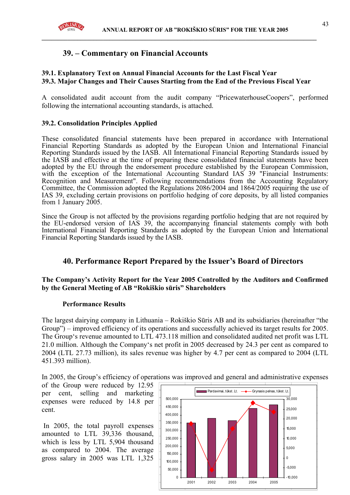

# **39. – Commentary on Financial Accounts**

#### **39.1. Explanatory Text on Annual Financial Accounts for the Last Fiscal Year 39.3. Major Changes and Their Causes Starting from the End of the Previous Fiscal Year**

A consolidated audit account from the audit company "PricewaterhouseCoopers", performed following the international accounting standards, is attached.

#### **39.2. Consolidation Principles Applied**

These consolidated financial statements have been prepared in accordance with International Financial Reporting Standards as adopted by the European Union and International Financial Reporting Standards issued by the IASB. All International Financial Reporting Standards issued by the IASB and effective at the time of preparing these consolidated financial statements have been adopted by the EU through the endorsement procedure established by the European Commission, with the exception of the International Accounting Standard IAS 39 "Financial Instruments: Recognition and Measurement". Following recommendations from the Accounting Regulatory Committee, the Commission adopted the Regulations 2086/2004 and 1864/2005 requiring the use of IAS 39, excluding certain provisions on portfolio hedging of core deposits, by all listed companies from 1 January 2005.

Since the Group is not affected by the provisions regarding portfolio hedging that are not required by the EU-endorsed version of IAS 39, the accompanying financial statements comply with both International Financial Reporting Standards as adopted by the European Union and International Financial Reporting Standards issued by the IASB.

# **40. Performance Report Prepared by the Issuer's Board of Directors**

#### **The Company's Activity Report for the Year 2005 Controlled by the Auditors and Confirmed by the General Meeting of AB "Rokiškio sūris" Shareholders**

#### **Performance Results**

The largest dairying company in Lithuania – Rokiškio Sūris AB and its subsidiaries (hereinafter "the Group") – improved efficiency of its operations and successfully achieved its target results for 2005. The Group's revenue amounted to LTL 473.118 million and consolidated audited net profit was LTL 21.0 million. Although the Company's net profit in 2005 decreased by 24.3 per cent as compared to 2004 (LTL 27.73 million), its sales revenue was higher by 4.7 per cent as compared to 2004 (LTL 451.393 million).

In 2005, the Group's efficiency of operations was improved and general and administrative expenses

of the Group were reduced by 12.95 per cent, selling and marketing expenses were reduced by 14.8 per cent.

In 2005, the total payroll expenses amounted to LTL 39,336 thousand, which is less by LTL 5,904 thousand as compared to 2004. The average gross salary in 2005 was LTL 1,325

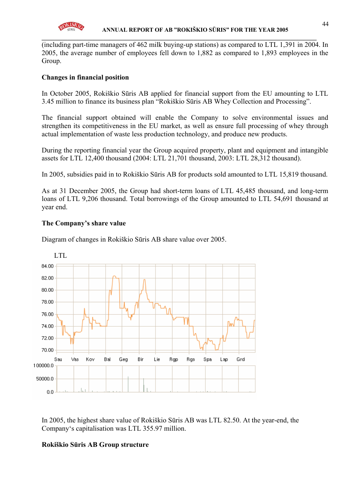

**\_\_\_\_\_\_\_\_\_\_\_\_\_\_\_\_\_\_\_\_\_\_\_\_\_\_\_\_\_\_\_\_\_\_\_\_\_\_\_\_\_\_\_\_\_\_\_\_\_\_\_\_\_\_\_\_\_\_\_\_\_\_\_\_\_\_\_\_\_\_\_\_\_\_\_\_\_\_\_\_\_\_\_\_\_**  (including part-time managers of 462 milk buying-up stations) as compared to LTL 1,391 in 2004. In 2005, the average number of employees fell down to 1,882 as compared to 1,893 employees in the Group.

#### **Changes in financial position**

In October 2005, Rokiškio Sūris AB applied for financial support from the EU amounting to LTL 3.45 million to finance its business plan "Rokiškio Sūris AB Whey Collection and Processing".

The financial support obtained will enable the Company to solve environmental issues and strengthen its competitiveness in the EU market, as well as ensure full processing of whey through actual implementation of waste less production technology, and produce new products.

During the reporting financial year the Group acquired property, plant and equipment and intangible assets for LTL 12,400 thousand (2004: LTL 21,701 thousand, 2003: LTL 28,312 thousand).

In 2005, subsidies paid in to Rokiškio Sūris AB for products sold amounted to LTL 15,819 thousand.

As at 31 December 2005, the Group had short-term loans of LTL 45,485 thousand, and long-term loans of LTL 9,206 thousand. Total borrowings of the Group amounted to LTL 54,691 thousand at year end.

#### **The Company's share value**

Diagram of changes in Rokiškio Sūris AB share value over 2005.



In 2005, the highest share value of Rokiškio Sūris AB was LTL 82.50. At the year-end, the Company's capitalisation was LTL 355.97 million.

#### **Rokiškio Sūris AB Group structure**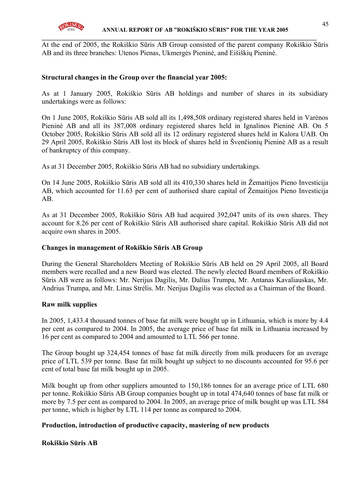

At the end of 2005, the Rokiškio Sūris AB Group consisted of the parent company Rokiškio Sūris AB and its three branches: Utenos Pienas, Ukmergės Pieninė, and Eišiškių Pieninė.

**\_\_\_\_\_\_\_\_\_\_\_\_\_\_\_\_\_\_\_\_\_\_\_\_\_\_\_\_\_\_\_\_\_\_\_\_\_\_\_\_\_\_\_\_\_\_\_\_\_\_\_\_\_\_\_\_\_\_\_\_\_\_\_\_\_\_\_\_\_\_\_\_\_\_\_\_\_\_\_\_\_\_\_\_\_** 

#### **Structural changes in the Group over the financial year 2005:**

As at 1 January 2005, Rokiškio Sūris AB holdings and number of shares in its subsidiary undertakings were as follows:

On 1 June 2005, Rokiškio Sūris AB sold all its 1,498,508 ordinary registered shares held in Varėnos Pieninė AB and all its 387,008 ordinary registered shares held in Ignalinos Pieninė AB. On 5 October 2005, Rokiškio Sūris AB sold all its 12 ordinary registered shares held in Kalora UAB. On 29 April 2005, Rokiškio Sūris AB lost its block of shares held in Švenčionių Pieninė AB as a result of bankruptcy of this company.

As at 31 December 2005, Rokiškio Sūris AB had no subsidiary undertakings.

On 14 June 2005, Rokiškio Sūris AB sold all its 410,330 shares held in Žemaitijos Pieno Investicija AB, which accounted for 11.63 per cent of authorised share capital of Žemaitijos Pieno Investicija AB.

As at 31 December 2005, Rokiškio Sūris AB had acquired 392,047 units of its own shares. They account for 8.26 per cent of Rokiškio Sūris AB authorised share capital. Rokiškio Sūris AB did not acquire own shares in 2005.

#### **Changes in management of Rokiškio Sūris AB Group**

During the General Shareholders Meeting of Rokiškio Sūris AB held on 29 April 2005, all Board members were recalled and a new Board was elected. The newly elected Board members of Rokiškio Sūris AB were as follows: Mr. Nerijus Dagilis, Mr. Dalius Trumpa, Mr. Antanas Kavaliauskas, Mr. Andrius Trumpa, and Mr. Linas Strėlis. Mr. Nerijus Dagilis was elected as a Chairman of the Board.

#### **Raw milk supplies**

In 2005, 1,433.4 thousand tonnes of base fat milk were bought up in Lithuania, which is more by 4.4 per cent as compared to 2004. In 2005, the average price of base fat milk in Lithuania increased by 16 per cent as compared to 2004 and amounted to LTL 566 per tonne.

The Group bought up 324,454 tonnes of base fat milk directly from milk producers for an average price of LTL 539 per tonne. Base fat milk bought up subject to no discounts accounted for 95.6 per cent of total base fat milk bought up in 2005.

Milk bought up from other suppliers amounted to 150,186 tonnes for an average price of LTL 680 per tonne. Rokiškio Sūris AB Group companies bought up in total 474,640 tonnes of base fat milk or more by 7.5 per cent as compared to 2004. In 2005, an average price of milk bought up was LTL 584 per tonne, which is higher by LTL 114 per tonne as compared to 2004.

#### **Production, introduction of productive capacity, mastering of new products**

**Rokiškio Sūris AB**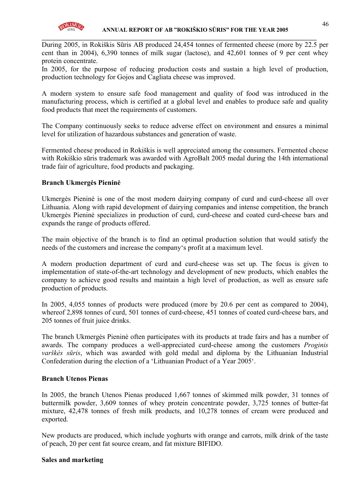

**\_\_\_\_\_\_\_\_\_\_\_\_\_\_\_\_\_\_\_\_\_\_\_\_\_\_\_\_\_\_\_\_\_\_\_\_\_\_\_\_\_\_\_\_\_\_\_\_\_\_\_\_\_\_\_\_\_\_\_\_\_\_\_\_\_\_\_\_\_\_\_\_\_\_\_\_\_\_\_\_\_\_\_\_\_**  During 2005, in Rokiškis Sūris AB produced 24,454 tonnes of fermented cheese (more by 22.5 per cent than in 2004), 6,390 tonnes of milk sugar (lactose), and 42,601 tonnes of 9 per cent whey protein concentrate.

In 2005, for the purpose of reducing production costs and sustain a high level of production, production technology for Gojos and Cagliata cheese was improved.

A modern system to ensure safe food management and quality of food was introduced in the manufacturing process, which is certified at a global level and enables to produce safe and quality food products that meet the requirements of customers.

The Company continuously seeks to reduce adverse effect on environment and ensures a minimal level for utilization of hazardous substances and generation of waste.

Fermented cheese produced in Rokiškis is well appreciated among the consumers. Fermented cheese with Rokiškio sūris trademark was awarded with AgroBalt 2005 medal during the 14th international trade fair of agriculture, food products and packaging.

#### **Branch Ukmergės Pieninė**

Ukmergės Pieninė is one of the most modern dairying company of curd and curd-cheese all over Lithuania. Along with rapid development of dairying companies and intense competition, the branch Ukmergės Pieninė specializes in production of curd, curd-cheese and coated curd-cheese bars and expands the range of products offered.

The main objective of the branch is to find an optimal production solution that would satisfy the needs of the customers and increase the company's profit at a maximum level.

A modern production department of curd and curd-cheese was set up. The focus is given to implementation of state-of-the-art technology and development of new products, which enables the company to achieve good results and maintain a high level of production, as well as ensure safe production of products.

In 2005, 4,055 tonnes of products were produced (more by 20.6 per cent as compared to 2004), whereof 2,898 tonnes of curd, 501 tonnes of curd-cheese, 451 tonnes of coated curd-cheese bars, and 205 tonnes of fruit juice drinks.

The branch Ukmergės Pieninė often participates with its products at trade fairs and has a number of awards. The company produces a well-appreciated curd-cheese among the customers *Proginis varškės sūris*, which was awarded with gold medal and diploma by the Lithuanian Industrial Confederation during the election of a 'Lithuanian Product of a Year 2005'.

#### **Branch Utenos Pienas**

In 2005, the branch Utenos Pienas produced 1,667 tonnes of skimmed milk powder, 31 tonnes of buttermilk powder, 3,609 tonnes of whey protein concentrate powder, 3,725 tonnes of butter-fat mixture, 42,478 tonnes of fresh milk products, and 10,278 tonnes of cream were produced and exported.

New products are produced, which include yoghurts with orange and carrots, milk drink of the taste of peach, 20 per cent fat source cream, and fat mixture BIFIDO.

#### **Sales and marketing**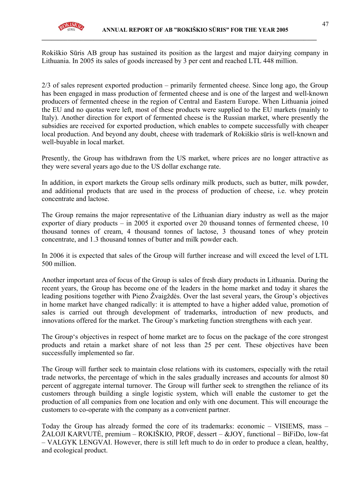

Rokiškio Sūris AB group has sustained its position as the largest and major dairying company in Lithuania. In 2005 its sales of goods increased by 3 per cent and reached LTL 448 million.

2/3 of sales represent exported production – primarily fermented cheese. Since long ago, the Group has been engaged in mass production of fermented cheese and is one of the largest and well-known producers of fermented cheese in the region of Central and Eastern Europe. When Lithuania joined the EU and no quotas were left, most of these products were supplied to the EU markets (mainly to Italy). Another direction for export of fermented cheese is the Russian market, where presently the subsidies are received for exported production, which enables to compete successfully with cheaper local production. And beyond any doubt, cheese with trademark of Rokiškio sūris is well-known and well-buyable in local market.

Presently, the Group has withdrawn from the US market, where prices are no longer attractive as they were several years ago due to the US dollar exchange rate.

In addition, in export markets the Group sells ordinary milk products, such as butter, milk powder, and additional products that are used in the process of production of cheese, i.e. whey protein concentrate and lactose.

The Group remains the major representative of the Lithuanian diary industry as well as the major exporter of diary products – in 2005 it exported over 20 thousand tonnes of fermented cheese, 10 thousand tonnes of cream, 4 thousand tonnes of lactose, 3 thousand tones of whey protein concentrate, and 1.3 thousand tonnes of butter and milk powder each.

In 2006 it is expected that sales of the Group will further increase and will exceed the level of LTL 500 million.

Another important area of focus of the Group is sales of fresh diary products in Lithuania. During the recent years, the Group has become one of the leaders in the home market and today it shares the leading positions together with Pieno Žvaigždės. Over the last several years, the Group's objectives in home market have changed radically: it is attempted to have a higher added value, promotion of sales is carried out through development of trademarks, introduction of new products, and innovations offered for the market. The Group's marketing function strengthens with each year.

The Group's objectives in respect of home market are to focus on the package of the core strongest products and retain a market share of not less than 25 per cent. These objectives have been successfully implemented so far.

The Group will further seek to maintain close relations with its customers, especially with the retail trade networks, the percentage of which in the sales gradually increases and accounts for almost 80 percent of aggregate internal turnover. The Group will further seek to strengthen the reliance of its customers through building a single logistic system, which will enable the customer to get the production of all companies from one location and only with one document. This will encourage the customers to co-operate with the company as a convenient partner.

Today the Group has already formed the core of its trademarks: economic – VISIEMS, mass – ŽALOJI KARVUTĖ, premium – ROKIŠKIO, PROF, dessert – &JOY, functional – BiFiDo, low-fat – VALGYK LENGVAI. However, there is still left much to do in order to produce a clean, healthy, and ecological product.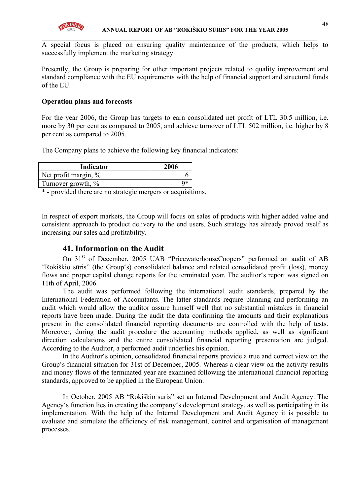

A special focus is placed on ensuring quality maintenance of the products, which helps to successfully implement the marketing strategy

**\_\_\_\_\_\_\_\_\_\_\_\_\_\_\_\_\_\_\_\_\_\_\_\_\_\_\_\_\_\_\_\_\_\_\_\_\_\_\_\_\_\_\_\_\_\_\_\_\_\_\_\_\_\_\_\_\_\_\_\_\_\_\_\_\_\_\_\_\_\_\_\_\_\_\_\_\_\_\_\_\_\_\_\_\_** 

Presently, the Group is preparing for other important projects related to quality improvement and standard compliance with the EU requirements with the help of financial support and structural funds of the EU.

#### **Operation plans and forecasts**

For the year 2006, the Group has targets to earn consolidated net profit of LTL 30.5 million, i.e. more by 30 per cent as compared to 2005, and achieve turnover of LTL 502 million, i.e. higher by 8 per cent as compared to 2005.

The Company plans to achieve the following key financial indicators:

| Indicator            | 2006 |  |
|----------------------|------|--|
| Net profit margin, % |      |  |
| Turnover growth, %   | 0*   |  |

\* - provided there are no strategic mergers or acquisitions.

In respect of export markets, the Group will focus on sales of products with higher added value and consistent approach to product delivery to the end users. Such strategy has already proved itself as increasing our sales and profitability.

#### **41. Information on the Audit**

On 31<sup>st</sup> of December, 2005 UAB "PricewaterhouseCoopers" performed an audit of AB "Rokiškio sūris" (the Group's) consolidated balance and related consolidated profit (loss), money flows and proper capital change reports for the terminated year. The auditor's report was signed on 11th of April, 2006.

 The audit was performed following the international audit standards, prepared by the International Federation of Accountants. The latter standards require planning and performing an audit which would allow the auditor assure himself well that no substantial mistakes in financial reports have been made. During the audit the data confirming the amounts and their explanations present in the consolidated financial reporting documents are controlled with the help of tests. Moreover, during the audit procedure the accounting methods applied, as well as significant direction calculations and the entire consolidated financial reporting presentation are judged. According to the Auditor, a performed audit underlies his opinion.

In the Auditor's opinion, consolidated financial reports provide a true and correct view on the Group's financial situation for 31st of December, 2005. Whereas a clear view on the activity results and money flows of the terminated year are examined following the international financial reporting standards, approved to be applied in the European Union.

 In October, 2005 AB "Rokiškio sūris" set an Internal Development and Audit Agency. The Agency's function lies in creating the company's development strategy, as well as participating in its implementation. With the help of the Internal Development and Audit Agency it is possible to evaluate and stimulate the efficiency of risk management, control and organisation of management processes.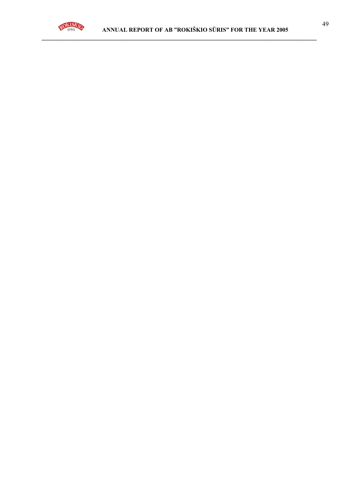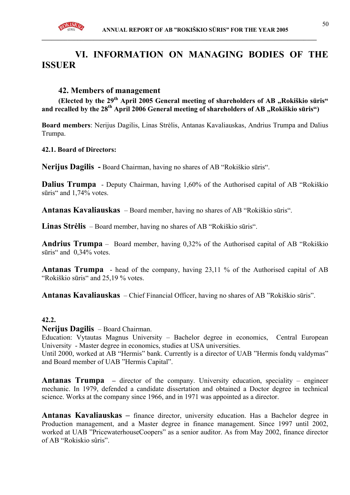

# **VI. INFORMATION ON MANAGING BODIES OF THE ISSUER**

**\_\_\_\_\_\_\_\_\_\_\_\_\_\_\_\_\_\_\_\_\_\_\_\_\_\_\_\_\_\_\_\_\_\_\_\_\_\_\_\_\_\_\_\_\_\_\_\_\_\_\_\_\_\_\_\_\_\_\_\_\_\_\_\_\_\_\_\_\_\_\_\_\_\_\_\_\_\_\_\_\_\_\_\_\_** 

# **42. Members of management**

(Elected by the 29<sup>th</sup> April 2005 General meeting of shareholders of AB "Rokiškio sūris" and recalled by the 28<sup>th</sup> April 2006 General meeting of shareholders of AB "Rokiškio sūris")

**Board members**: Nerijus Dagilis, Linas Strėlis, Antanas Kavaliauskas, Andrius Trumpa and Dalius Trumpa.

**42.1. Board of Directors:** 

**Nerijus Dagilis -** Board Chairman, having no shares of AB "Rokiškio sūris".

**Dalius Trumpa** - Deputy Chairman, having 1,60% of the Authorised capital of AB "Rokiškio" sūris" and 1,74% votes.

**Antanas Kavaliauskas** – Board member, having no shares of AB "Rokiškio sūris".

**Linas Strėlis** – Board member, having no shares of AB "Rokiškio sūris".

**Andrius Trumpa** – Board member, having 0,32% of the Authorised capital of AB "Rokiškio sūris" and 0,34% votes.

**Antanas Trumpa** - head of the company, having 23,11 % of the Authorised capital of AB "Rokiškio sūris" and 25,19 % votes.

**Antanas Kavaliauskas** – Chief Financial Officer, having no shares of AB "Rokiškio sūris".

# **42.2.**

**Nerijus Dagilis** – Board Chairman.

Education: Vytautas Magnus University – Bachelor degree in economics, Central European University - Master degree in economics, studies at USA universities.

Until 2000, worked at AB "Hermis" bank. Currently is a director of UAB "Hermis fondų valdymas" and Board member of UAB "Hermis Capital".

**Antanas Trumpa –** director of the company. University education, speciality – engineer mechanic. In 1979, defended a candidate dissertation and obtained a Doctor degree in technical science. Works at the company since 1966, and in 1971 was appointed as a director.

**Antanas Kavaliauskas –** finance director, university education. Has a Bachelor degree in Production management, and a Master degree in finance management. Since 1997 until 2002, worked at UAB "PricewaterhouseCoopers" as a senior auditor. As from May 2002, finance director of AB "Rokiskio sûris".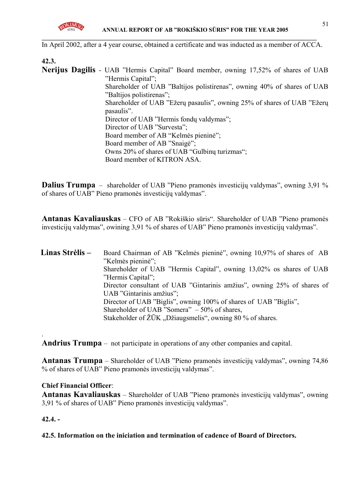

**\_\_\_\_\_\_\_\_\_\_\_\_\_\_\_\_\_\_\_\_\_\_\_\_\_\_\_\_\_\_\_\_\_\_\_\_\_\_\_\_\_\_\_\_\_\_\_\_\_\_\_\_\_\_\_\_\_\_\_\_\_\_\_\_\_\_\_\_\_\_\_\_\_\_\_\_\_\_\_\_\_\_\_\_\_**  In April 2002, after a 4 year course, obtained a certificate and was inducted as a member of ACCA.

# **42.3.**

**Nerijus Dagilis** - UAB "Hermis Capital" Board member, owning 17,52% of shares of UAB "Hermis Capital"; Shareholder of UAB "Baltijos polistirenas", owning 40% of shares of UAB "Baltijos polistirenas"; Shareholder of UAB "Ežerų pasaulis", owning 25% of shares of UAB "Ežerų pasaulis". Director of UAB "Hermis fondu valdymas"; Director of UAB "Survesta"; Board member of AB "Kelmės pieninė"; Board member of AB "Snaigė"; Owns 20% of shares of UAB "Gulbinų turizmas"; Board member of KITRON ASA.

**Dalius Trumpa** – shareholder of UAB "Pieno pramonės investicijų valdymas", owning 3,91 % of shares of UAB" Pieno pramonės investicijų valdymas".

**Antanas Kavaliauskas** – CFO of AB "Rokiškio sūris". Shareholder of UAB "Pieno pramonės investicijų valdymas", owining 3,91 % of shares of UAB" Pieno pramonės investicijų valdymas".

**Linas Strėlis –** Board Chairman of AB "Kelmės pieninė", owning 10,97% of shares of AB "Kelmės pieninė"; Shareholder of UAB "Hermis Capital", owning 13,02% os shares of UAB "Hermis Capital"; Director consultant of UAB "Gintarinis amžius", owning 25% of shares of UAB "Gintarinis amžius"; Director of UAB "Biglis", owning 100% of shares of UAB "Biglis", Shareholder of UAB "Somera" – 50% of shares, Stakeholder of  $\angle Z\overline{U}K$ ,  $D\angle Z\overline{U}$  Džiaugsmelis", owning 80 % of shares.

**Andrius Trumpa** – not participate in operations of any other companies and capital.

**Antanas Trumpa** – Shareholder of UAB "Pieno pramonės investicijų valdymas", owning 74,86 % of shares of UAB" Pieno pramonės investicijų valdymas".

#### **Chief Financial Officer**:

**Antanas Kavaliauskas** – Shareholder of UAB "Pieno pramonės investicijų valdymas", owning 3,91 % of shares of UAB" Pieno pramonės investicijų valdymas".

# **42.4. -**

.

**42.5. Information on the iniciation and termination of cadence of Board of Directors.**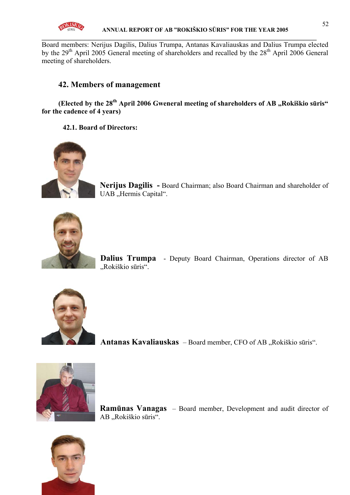

**\_\_\_\_\_\_\_\_\_\_\_\_\_\_\_\_\_\_\_\_\_\_\_\_\_\_\_\_\_\_\_\_\_\_\_\_\_\_\_\_\_\_\_\_\_\_\_\_\_\_\_\_\_\_\_\_\_\_\_\_\_\_\_\_\_\_\_\_\_\_\_\_\_\_\_\_\_\_\_\_\_\_\_\_\_**  Board members: Nerijus Dagilis, Dalius Trumpa, Antanas Kavaliauskas and Dalius Trumpa elected by the 29<sup>th</sup> April 2005 General meeting of shareholders and recalled by the 28<sup>th</sup> April 2006 General meeting of shareholders.

# **42. Members of management**

(Elected by the 28<sup>th</sup> April 2006 Gweneral meeting of shareholders of AB "Rokiškio sūris" **for the cadence of 4 years)** 

# **42.1. Board of Directors:**



**Nerijus Dagilis -** Board Chairman; also Board Chairman and shareholder of UAB "Hermis Capital".



**Dalius Trumpa** - Deputy Board Chairman, Operations director of AB "Rokiškio sūris".



Antanas Kavaliauskas - Board member, CFO of AB "Rokiškio sūris".



**Ramūnas Vanagas** – Board member, Development and audit director of AB "Rokiškio sūris".

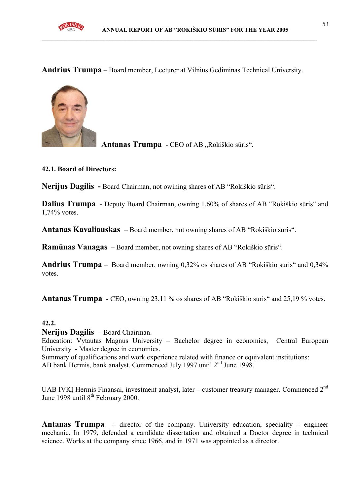

**Andrius Trumpa** – Board member, Lecturer at Vilnius Gediminas Technical University.



Antanas Trumpa - CEO of AB "Rokiškio sūris".

#### **42.1. Board of Directors:**

**Nerijus Dagilis -** Board Chairman, not owining shares of AB "Rokiškio sūris".

**Dalius Trumpa** - Deputy Board Chairman, owning 1,60% of shares of AB "Rokiškio sūris" and 1,74% votes.

**Antanas Kavaliauskas** – Board member, not owning shares of AB "Rokiškio sūris".

**Ramūnas Vanagas** – Board member, not owning shares of AB "Rokiškio sūris".

**Andrius Trumpa** – Board member, owning 0,32% os shares of AB "Rokiškio sūris" and 0,34% votes.

**Antanas Trumpa** - CEO, owning 23,11 % os shares of AB "Rokiškio sūris" and 25,19 % votes.

#### **42.2.**

**Nerijus Dagilis** – Board Chairman.

Education: Vytautas Magnus University – Bachelor degree in economics, Central European University - Master degree in economics.

Summary of qualifications and work experience related with finance or equivalent institutions:

AB bank Hermis, bank analyst. Commenced July 1997 until 2<sup>nd</sup> June 1998.

UAB IVKI Hermis Finansai, investment analyst, later – customer treasury manager. Commenced 2<sup>nd</sup> June 1998 until  $8^{th}$  February 2000.

**Antanas Trumpa –** director of the company. University education, speciality – engineer mechanic. In 1979, defended a candidate dissertation and obtained a Doctor degree in technical science. Works at the company since 1966, and in 1971 was appointed as a director.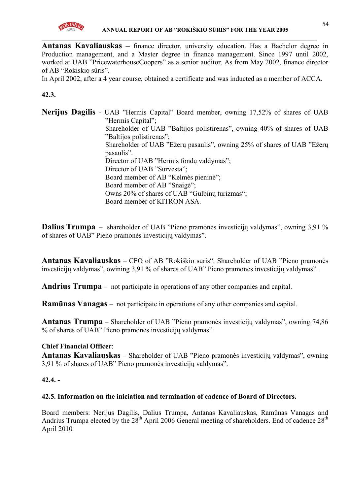

**Antanas Kavaliauskas –** finance director, university education. Has a Bachelor degree in Production management, and a Master degree in finance management. Since 1997 until 2002, worked at UAB "PricewaterhouseCoopers" as a senior auditor. As from May 2002, finance director of AB "Rokiskio sûris".

**\_\_\_\_\_\_\_\_\_\_\_\_\_\_\_\_\_\_\_\_\_\_\_\_\_\_\_\_\_\_\_\_\_\_\_\_\_\_\_\_\_\_\_\_\_\_\_\_\_\_\_\_\_\_\_\_\_\_\_\_\_\_\_\_\_\_\_\_\_\_\_\_\_\_\_\_\_\_\_\_\_\_\_\_\_** 

In April 2002, after a 4 year course, obtained a certificate and was inducted as a member of ACCA.

# **42.3.**

**Nerijus Dagilis** - UAB "Hermis Capital" Board member, owning 17,52% of shares of UAB "Hermis Capital"; Shareholder of UAB "Baltijos polistirenas", owning 40% of shares of UAB "Baltijos polistirenas"; Shareholder of UAB "Ežerų pasaulis", owning 25% of shares of UAB "Ežerų pasaulis". Director of UAB "Hermis fondų valdymas"; Director of UAB "Survesta"; Board member of AB "Kelmės pieninė"; Board member of AB "Snaigė"; Owns 20% of shares of UAB "Gulbinų turizmas"; Board member of KITRON ASA.

**Dalius Trumpa** – shareholder of UAB "Pieno pramonės investicijų valdymas", owning 3,91 % of shares of UAB" Pieno pramonės investicijų valdymas".

**Antanas Kavaliauskas** – CFO of AB "Rokiškio sūris". Shareholder of UAB "Pieno pramonės investicijų valdymas", owining 3,91 % of shares of UAB" Pieno pramonės investicijų valdymas".

**Andrius Trumpa** – not participate in operations of any other companies and capital.

**Ramūnas Vanagas** – not participate in operations of any other companies and capital.

**Antanas Trumpa** – Shareholder of UAB "Pieno pramonės investicijų valdymas", owning 74,86 % of shares of UAB" Pieno pramonės investicijų valdymas".

#### **Chief Financial Officer**:

**Antanas Kavaliauskas** – Shareholder of UAB "Pieno pramonės investicijų valdymas", owning 3,91 % of shares of UAB" Pieno pramonės investicijų valdymas".

# **42.4. -**

#### **42.5. Information on the iniciation and termination of cadence of Board of Directors.**

Board members: Nerijus Dagilis, Dalius Trumpa, Antanas Kavaliauskas, Ramūnas Vanagas and Andrius Trumpa elected by the  $28<sup>th</sup>$  April 2006 General meeting of shareholders. End of cadence  $28<sup>th</sup>$ April 2010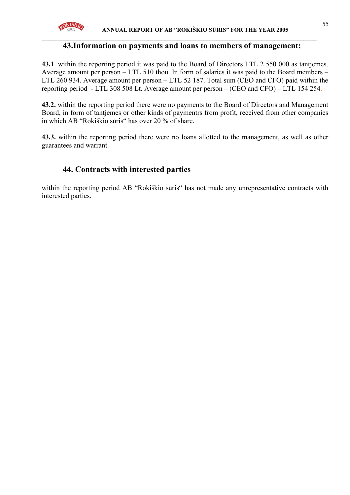

#### **\_\_\_\_\_\_\_\_\_\_\_\_\_\_\_\_\_\_\_\_\_\_\_\_\_\_\_\_\_\_\_\_\_\_\_\_\_\_\_\_\_\_\_\_\_\_\_\_\_\_\_\_\_\_\_\_\_\_\_\_\_\_\_\_\_\_\_\_\_\_\_\_\_\_\_\_\_\_\_\_\_\_\_\_\_ 43.Information on payments and loans to members of management:**

**43.1**. within the reporting period it was paid to the Board of Directors LTL 2 550 000 as tantjemes. Average amount per person – LTL 510 thou. In form of salaries it was paid to the Board members – LTL 260 934. Average amount per person – LTL 52 187. Total sum (CEO and CFO) paid within the reporting period - LTL 308 508 Lt. Average amount per person – (CEO and CFO) – LTL 154 254.

**43.2.** within the reporting period there were no payments to the Board of Directors and Management Board, in form of tantjemes or other kinds of paymentrs from profit, received from other companies in which AB "Rokiškio sūris" has over 20 % of share.

**43.3.** within the reporting period there were no loans allotted to the management, as well as other guarantees and warrant.

# **44. Contracts with interested parties**

within the reporting period AB "Rokiškio sūris" has not made any unrepresentative contracts with interested parties.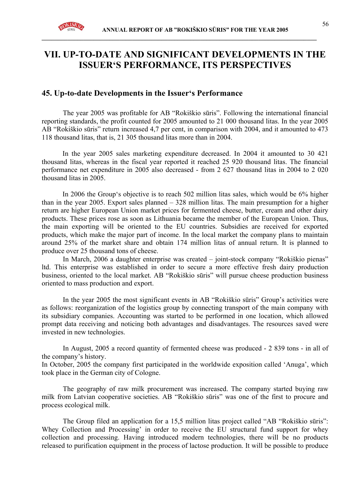

# **VII. UP-TO-DATE AND SIGNIFICANT DEVELOPMENTS IN THE ISSUER'S PERFORMANCE, ITS PERSPECTIVES**

**\_\_\_\_\_\_\_\_\_\_\_\_\_\_\_\_\_\_\_\_\_\_\_\_\_\_\_\_\_\_\_\_\_\_\_\_\_\_\_\_\_\_\_\_\_\_\_\_\_\_\_\_\_\_\_\_\_\_\_\_\_\_\_\_\_\_\_\_\_\_\_\_\_\_\_\_\_\_\_\_\_\_\_\_\_** 

#### **45. Up-to-date Developments in the Issuer's Performance**

The year 2005 was profitable for AB "Rokiškio sūris". Following the international financial reporting standards, the profit counted for 2005 amounted to 21 000 thousand litas. In the year 2005 AB "Rokiškio sūris" return increased 4,7 per cent, in comparison with 2004, and it amounted to 473 118 thousand litas, that is, 21 305 thousand litas more than in 2004.

In the year 2005 sales marketing expenditure decreased. In 2004 it amounted to 30 421 thousand litas, whereas in the fiscal year reported it reached 25 920 thousand litas. The financial performance net expenditure in 2005 also decreased - from 2 627 thousand litas in 2004 to 2 020 thousand litas in 2005.

In 2006 the Group's objective is to reach 502 million litas sales, which would be 6% higher than in the year 2005. Export sales planned – 328 million litas. The main presumption for a higher return are higher European Union market prices for fermented cheese, butter, cream and other dairy products. These prices rose as soon as Lithuania became the member of the European Union. Thus, the main exporting will be oriented to the EU countries. Subsidies are received for exported products, which make the major part of income. In the local market the company plans to maintain around 25% of the market share and obtain 174 million litas of annual return. It is planned to produce over 25 thousand tons of cheese.

 In March, 2006 a daughter enterprise was created – joint-stock company "Rokiškio pienas" ltd. This enterprise was established in order to secure a more effective fresh dairy production business, oriented to the local market. AB "Rokiškio sūris" will pursue cheese production business oriented to mass production and export.

 In the year 2005 the most significant events in AB "Rokiškio sūris" Group's activities were as follows: reorganization of the logistics group by connecting transport of the main company with its subsidiary companies. Accounting was started to be performed in one location, which allowed prompt data receiving and noticing both advantages and disadvantages. The resources saved were invested in new technologies.

 In August, 2005 a record quantity of fermented cheese was produced - 2 839 tons - in all of the company's history.

In October, 2005 the company first participated in the worldwide exposition called 'Anuga', which took place in the German city of Cologne.

 The geography of raw milk procurement was increased. The company started buying raw milk from Latvian cooperative societies. AB "Rokiškio sūris" was one of the first to procure and process ecological milk.

 The Group filed an application for a 15,5 million litas project called "AB "Rokiškio sūris": Whey Collection and Processing' in order to receive the EU structural fund support for whey collection and processing. Having introduced modern technologies, there will be no products released to purification equipment in the process of lactose production. It will be possible to produce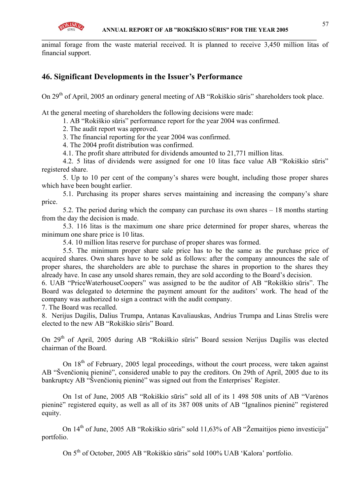

animal forage from the waste material received. It is planned to receive 3,450 million litas of financial support.

**\_\_\_\_\_\_\_\_\_\_\_\_\_\_\_\_\_\_\_\_\_\_\_\_\_\_\_\_\_\_\_\_\_\_\_\_\_\_\_\_\_\_\_\_\_\_\_\_\_\_\_\_\_\_\_\_\_\_\_\_\_\_\_\_\_\_\_\_\_\_\_\_\_\_\_\_\_\_\_\_\_\_\_\_\_** 

# **46. Significant Developments in the Issuer's Performance**

On 29<sup>th</sup> of April, 2005 an ordinary general meeting of AB "Rokiškio sūris" shareholders took place.

At the general meeting of shareholders the following decisions were made:

1. AB "Rokiškio sūris" performance report for the year 2004 was confirmed.

2. The audit report was approved.

3. The financial reporting for the year 2004 was confirmed.

4. The 2004 profit distribution was confirmed.

4.1. The profit share attributed for dividends amounted to 21,771 million litas.

 4.2. 5 litas of dividends were assigned for one 10 litas face value AB "Rokiškio sūris" registered share.

 5. Up to 10 per cent of the company's shares were bought, including those proper shares which have been bought earlier.

 5.1. Purchasing its proper shares serves maintaining and increasing the company's share price.

 5.2. The period during which the company can purchase its own shares – 18 months starting from the day the decision is made.

 5.3. 116 litas is the maximum one share price determined for proper shares, whereas the minimum one share price is 10 litas.

5.4. 10 million litas reserve for purchase of proper shares was formed.

 5.5. The minimum proper share sale price has to be the same as the purchase price of acquired shares. Own shares have to be sold as follows: after the company announces the sale of proper shares, the shareholders are able to purchase the shares in proportion to the shares they already have. In case any unsold shares remain, they are sold according to the Board's decision.

6. UAB "PriceWaterhouseCoopers" was assigned to be the auditor of AB "Rokiškio sūris". The Board was delegated to determine the payment amount for the auditors' work. The head of the company was authorized to sign a contract with the audit company.

7. The Board was recalled.

8. Nerijus Dagilis, Dalius Trumpa, Antanas Kavaliauskas, Andrius Trumpa and Linas Strelis were elected to the new AB "Rokiškio sūris" Board.

On 29<sup>th</sup> of April, 2005 during AB "Rokiškio sūris" Board session Nerijus Dagilis was elected chairman of the Board.

On  $18<sup>th</sup>$  of February, 2005 legal proceedings, without the court process, were taken against AB "Švenčionių pieninė", considered unable to pay the creditors. On 29th of April, 2005 due to its bankruptcy AB "Švenčionių pieninė" was signed out from the Enterprises' Register.

 On 1st of June, 2005 AB "Rokiškio sūris" sold all of its 1 498 508 units of AB "Varėnos pieninė" registered equity, as well as all of its 387 008 units of AB "Ignalinos pieninė" registered equity.

On 14<sup>th</sup> of June, 2005 AB "Rokiškio sūris" sold 11,63% of AB "Žemaitijos pieno investicija" portfolio.

On 5th of October, 2005 AB "Rokiškio sūris" sold 100% UAB 'Kalora' portfolio.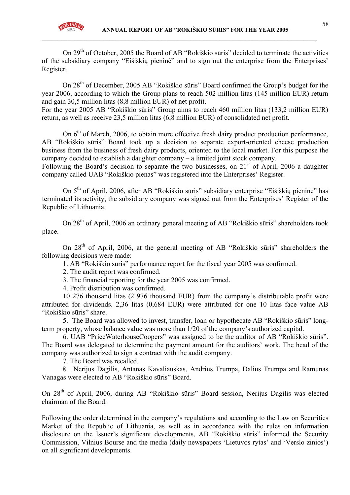

On 29<sup>th</sup> of October, 2005 the Board of AB "Rokiškio sūris" decided to terminate the activities of the subsidiary company "Eišiškių pieninė" and to sign out the enterprise from the Enterprises' Register.

**\_\_\_\_\_\_\_\_\_\_\_\_\_\_\_\_\_\_\_\_\_\_\_\_\_\_\_\_\_\_\_\_\_\_\_\_\_\_\_\_\_\_\_\_\_\_\_\_\_\_\_\_\_\_\_\_\_\_\_\_\_\_\_\_\_\_\_\_\_\_\_\_\_\_\_\_\_\_\_\_\_\_\_\_\_** 

On 28th of December, 2005 AB "Rokiškio sūris" Board confirmed the Group's budget for the year 2006, according to which the Group plans to reach 502 million litas (145 million EUR) return and gain 30,5 million litas (8,8 million EUR) of net profit.

For the year 2005 AB "Rokiškio sūris" Group aims to reach 460 million litas (133,2 million EUR) return, as well as receive 23,5 million litas (6,8 million EUR) of consolidated net profit.

On  $6<sup>th</sup>$  of March, 2006, to obtain more effective fresh dairy product production performance, AB "Rokiškio sūris" Board took up a decision to separate export-oriented cheese production business from the business of fresh dairy products, oriented to the local market. For this purpose the company decided to establish a daughter company – a limited joint stock company.

Following the Board's decision to separate the two businesses, on  $21<sup>st</sup>$  of April, 2006 a daughter company called UAB "Rokiškio pienas" was registered into the Enterprises' Register.

 On 5th of April, 2006, after AB "Rokiškio sūris" subsidiary enterprise "Eišiškių pieninė" has terminated its activity, the subsidiary company was signed out from the Enterprises' Register of the Republic of Lithuania.

On 28th of April, 2006 an ordinary general meeting of AB "Rokiškio sūris" shareholders took place.

On  $28<sup>th</sup>$  of April, 2006, at the general meeting of AB "Rokiškio sūris" shareholders the following decisions were made:

1. AB "Rokiškio sūris" performance report for the fiscal year 2005 was confirmed.

2. The audit report was confirmed.

3. The financial reporting for the year 2005 was confirmed.

4. Profit distribution was confirmed.

 10 276 thousand litas (2 976 thousand EUR) from the company's distributable profit were attributed for dividends. 2,36 litas (0,684 EUR) were attributed for one 10 litas face value AB "Rokiškio sūris" share.

 5. The Board was allowed to invest, transfer, loan or hypothecate AB "Rokiškio sūris" longterm property, whose balance value was more than 1/20 of the company's authorized capital.

 6. UAB "PriceWaterhouseCoopers" was assigned to be the auditor of AB "Rokiškio sūris". The Board was delegated to determine the payment amount for the auditors' work. The head of the company was authorized to sign a contract with the audit company.

7. The Board was recalled.

8. Nerijus Dagilis, Antanas Kavaliauskas, Andrius Trumpa, Dalius Trumpa and Ramunas Vanagas were elected to AB "Rokiškio sūris" Board.

On 28th of April, 2006, during AB "Rokiškio sūris" Board session, Nerijus Dagilis was elected chairman of the Board.

Following the order determined in the company's regulations and according to the Law on Securities Market of the Republic of Lithuania, as well as in accordance with the rules on information disclosure on the Issuer's significant developments, AB "Rokiškio sūris" informed the Security Commission, Vilnius Bourse and the media (daily newspapers 'Lietuvos rytas' and 'Verslo zinios') on all significant developments.